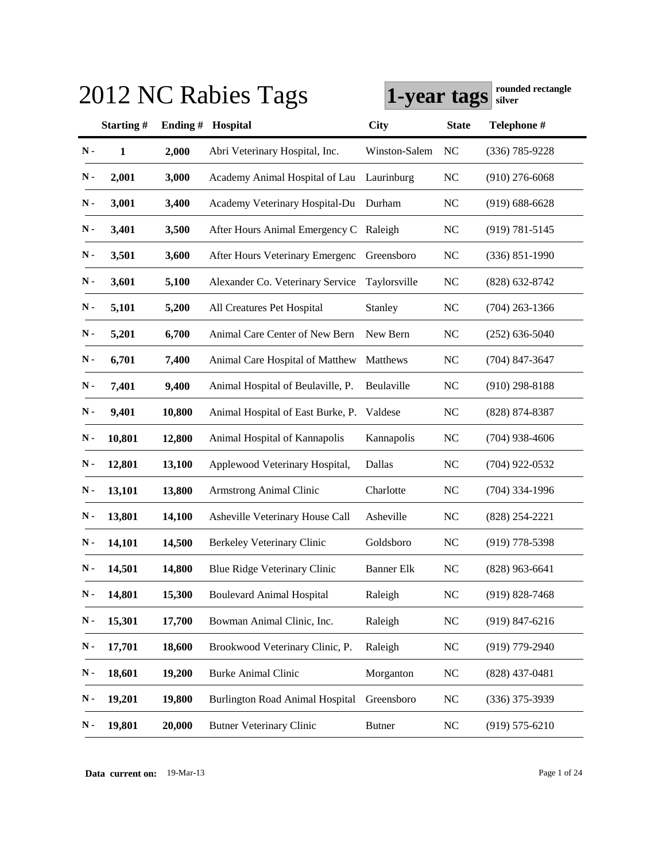| 2012 NC Rabies Tags | rounded rectangle<br>1-year tags<br>silver |         |                                        |                   |              |                    |
|---------------------|--------------------------------------------|---------|----------------------------------------|-------------------|--------------|--------------------|
|                     | Starting#                                  | Ending# | Hospital                               | <b>City</b>       | <b>State</b> | Telephone #        |
| $N -$               | $\mathbf{1}$                               | 2,000   | Abri Veterinary Hospital, Inc.         | Winston-Salem     | NC           | $(336) 785 - 9228$ |
| $\mathbf N$ -       | 2,001                                      | 3,000   | Academy Animal Hospital of Lau         | Laurinburg        | <b>NC</b>    | $(910)$ 276-6068   |
| $N -$               | 3,001                                      | 3,400   | Academy Veterinary Hospital-Du         | Durham            | <b>NC</b>    | $(919) 688 - 6628$ |
| $\mathbf N$ -       | 3,401                                      | 3,500   | After Hours Animal Emergency C Raleigh |                   | <b>NC</b>    | $(919) 781 - 5145$ |
| $N -$               | 3,501                                      | 3,600   | After Hours Veterinary Emergenc        | Greensboro        | <b>NC</b>    | $(336) 851 - 1990$ |
| $\mathbf N$ -       | 3,601                                      | 5,100   | Alexander Co. Veterinary Service       | Taylorsville      | <b>NC</b>    | $(828)$ 632-8742   |
| $N -$               | 5,101                                      | 5,200   | All Creatures Pet Hospital             | Stanley           | <b>NC</b>    | $(704)$ 263-1366   |
| $N -$               | 5,201                                      | 6,700   | Animal Care Center of New Bern         | New Bern          | <b>NC</b>    | $(252)$ 636-5040   |
| $N -$               | 6,701                                      | 7,400   | Animal Care Hospital of Matthew        | Matthews          | <b>NC</b>    | $(704)$ 847-3647   |
| $\mathbf N$ -       | 7,401                                      | 9,400   | Animal Hospital of Beulaville, P.      | Beulaville        | <b>NC</b>    | $(910)$ 298-8188   |
| $\mathbf N$ -       | 9,401                                      | 10,800  | Animal Hospital of East Burke, P.      | Valdese           | <b>NC</b>    | $(828)$ 874-8387   |
| $N -$               | 10,801                                     | 12,800  | Animal Hospital of Kannapolis          | Kannapolis        | <b>NC</b>    | $(704)$ 938-4606   |
| $N -$               | 12,801                                     | 13,100  | Applewood Veterinary Hospital,         | Dallas            | <b>NC</b>    | $(704)$ 922-0532   |
| $N -$               | 13,101                                     | 13,800  | Armstrong Animal Clinic                | Charlotte         | <b>NC</b>    | $(704)$ 334-1996   |
| $N -$               | 13,801                                     | 14,100  | Asheville Veterinary House Call        | Asheville         | <b>NC</b>    | $(828)$ 254-2221   |
| $N -$               | 14,101                                     | 14,500  | Berkeley Veterinary Clinic             | Goldsboro         | <b>NC</b>    | $(919)$ 778-5398   |
| $\mathbf N$ -       | 14,501                                     | 14,800  | Blue Ridge Veterinary Clinic           | <b>Banner Elk</b> | NC           | $(828)$ 963-6641   |
| $N -$               | 14,801                                     | 15,300  | <b>Boulevard Animal Hospital</b>       | Raleigh           | NC           | $(919) 828 - 7468$ |
| $\mathbf N$ -       | 15,301                                     | 17,700  | Bowman Animal Clinic, Inc.             | Raleigh           | NC           | $(919) 847 - 6216$ |
| $\mathbf N$ -       | 17,701                                     | 18,600  | Brookwood Veterinary Clinic, P.        | Raleigh           | <b>NC</b>    | $(919)$ 779-2940   |
| $\mathbf N$ -       | 18,601                                     | 19,200  | <b>Burke Animal Clinic</b>             | Morganton         | <b>NC</b>    | $(828)$ 437-0481   |
| $\mathbf N$ -       | 19,201                                     | 19,800  | <b>Burlington Road Animal Hospital</b> | Greensboro        | <b>NC</b>    | $(336)$ 375-3939   |
| $\mathbf N$ -       | 19,801                                     | 20,000  | <b>Butner Veterinary Clinic</b>        | <b>Butner</b>     | <b>NC</b>    | $(919) 575 - 6210$ |

**Data current on:** 19-Mar-13 Page 1 of 24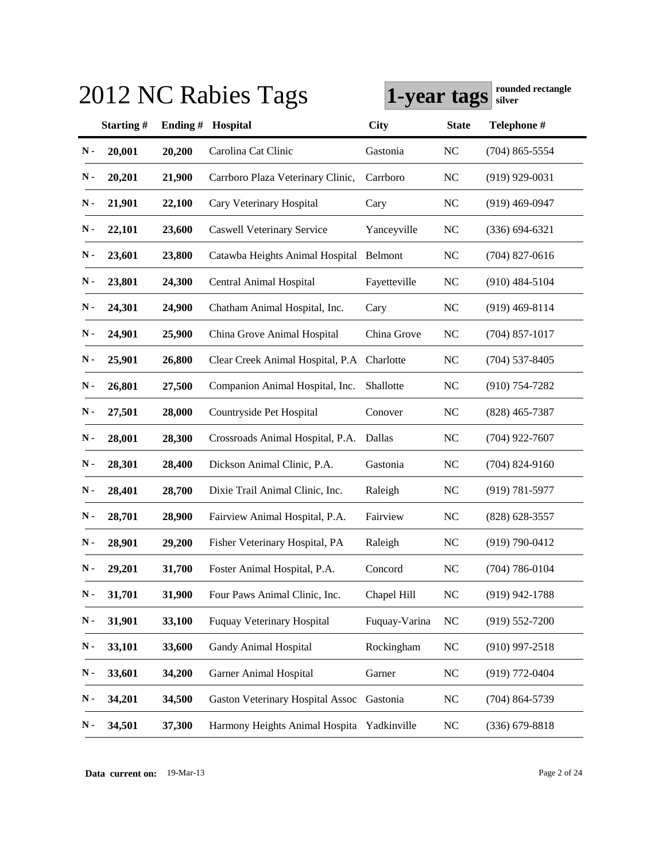|               | 2012 NC Rabies Tags |         | 1-year tags                                |               | rounded rectangle<br>silver |                    |
|---------------|---------------------|---------|--------------------------------------------|---------------|-----------------------------|--------------------|
|               | Starting#           | Ending# | Hospital                                   | <b>City</b>   | <b>State</b>                | Telephone #        |
| N-            | 20,001              | 20,200  | Carolina Cat Clinic                        | Gastonia      | <b>NC</b>                   | $(704)$ 865-5554   |
| N-            | 20,201              | 21,900  | Carrboro Plaza Veterinary Clinic,          | Carrboro      | <b>NC</b>                   | $(919)$ 929-0031   |
| $\mathbf N$ - | 21,901              | 22,100  | Cary Veterinary Hospital                   | Cary          | <b>NC</b>                   | $(919)$ 469-0947   |
| $\mathbf N$ - | 22,101              | 23,600  | <b>Caswell Veterinary Service</b>          | Yanceyville   | <b>NC</b>                   | $(336) 694 - 6321$ |
| $\mathbf N$ - | 23,601              | 23,800  | Catawba Heights Animal Hospital Belmont    |               | <b>NC</b>                   | $(704)$ 827-0616   |
| $\mathbf N$ - | 23,801              | 24,300  | Central Animal Hospital                    | Fayetteville  | <b>NC</b>                   | $(910)$ 484-5104   |
| N-            | 24,301              | 24,900  | Chatham Animal Hospital, Inc.              | Cary          | <b>NC</b>                   | $(919)$ 469-8114   |
| N-            | 24,901              | 25,900  | China Grove Animal Hospital                | China Grove   | <b>NC</b>                   | $(704)$ 857-1017   |
| $\mathbf N$ - | 25,901              | 26,800  | Clear Creek Animal Hospital, P.A           | Charlotte     | <b>NC</b>                   | $(704)$ 537-8405   |
| $\mathbf N$ - | 26,801              | 27,500  | Companion Animal Hospital, Inc.            | Shallotte     | <b>NC</b>                   | $(910) 754 - 7282$ |
| $\mathbf N$ - | 27,501              | 28,000  | Countryside Pet Hospital                   | Conover       | <b>NC</b>                   | $(828)$ 465-7387   |
| $\mathbf N$ - | 28,001              | 28,300  | Crossroads Animal Hospital, P.A.           | Dallas        | <b>NC</b>                   | $(704)$ 922-7607   |
| $\mathbf N$ - | 28,301              | 28,400  | Dickson Animal Clinic, P.A.                | Gastonia      | <b>NC</b>                   | $(704)$ 824-9160   |
| $\mathbf N$ - | 28,401              | 28,700  | Dixie Trail Animal Clinic, Inc.            | Raleigh       | <b>NC</b>                   | $(919) 781 - 5977$ |
| $\mathbf N$ - | 28,701              | 28,900  | Fairview Animal Hospital, P.A.             | Fairview      | <b>NC</b>                   | $(828)$ 628-3557   |
| $\mathbf N$ - | 28,901              | 29,200  | Fisher Veterinary Hospital, PA             | Raleigh       | <b>NC</b>                   | $(919) 790 - 0412$ |
| $\mathbf N$ - | 29,201              | 31,700  | Foster Animal Hospital, P.A.               | Concord       | NC                          | $(704) 786 - 0104$ |
| $\mathbf N$ - | 31,701              | 31,900  | Four Paws Animal Clinic, Inc.              | Chapel Hill   | NC                          | $(919)$ 942-1788   |
| $\mathbf N$ - | 31,901              | 33,100  | Fuquay Veterinary Hospital                 | Fuquay-Varina | NC                          | $(919) 552 - 7200$ |
| N-            | 33,101              | 33,600  | Gandy Animal Hospital                      | Rockingham    | $\rm NC$                    | $(910)$ 997-2518   |
| N-            | 33,601              | 34,200  | <b>Garner Animal Hospital</b>              | Garner        | $\rm NC$                    | (919) 772-0404     |
| N-            | 34,201              | 34,500  | <b>Gaston Veterinary Hospital Assoc</b>    | Gastonia      | <b>NC</b>                   | $(704) 864 - 5739$ |
| N-            | 34,501              | 37,300  | Harmony Heights Animal Hospita Yadkinville |               | NC                          | $(336)$ 679-8818   |

**Data current on:** 19-Mar-13 Page 2 of 24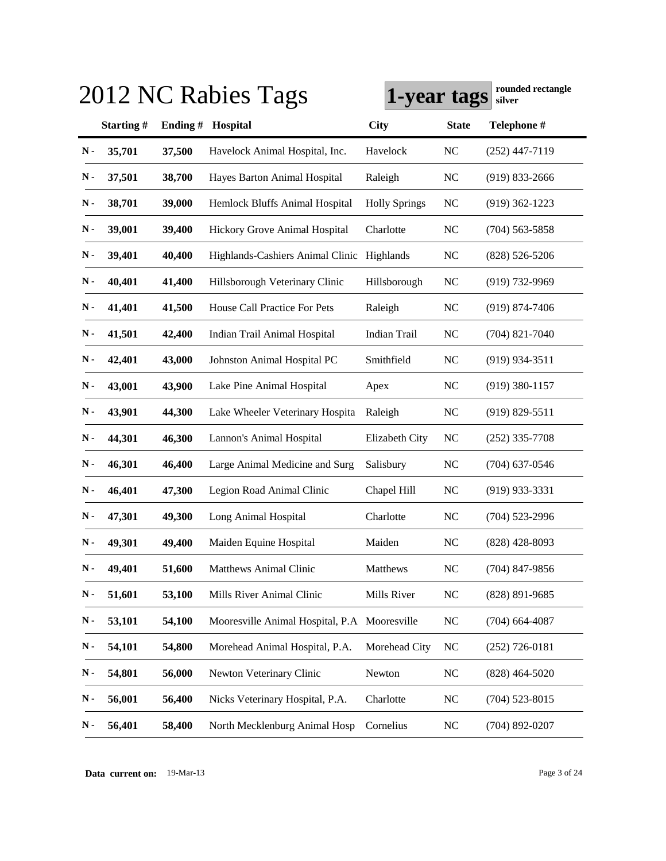|               |           |         | 2012 NC Rabies Tags                          | Tounded Feetangle<br>1-year tags<br>silver |              |                    |
|---------------|-----------|---------|----------------------------------------------|--------------------------------------------|--------------|--------------------|
|               | Starting# | Ending# | Hospital                                     | <b>City</b>                                | <b>State</b> | Telephone #        |
| $N -$         | 35,701    | 37,500  | Havelock Animal Hospital, Inc.               | Havelock                                   | <b>NC</b>    | $(252)$ 447-7119   |
| N -           | 37,501    | 38,700  | Hayes Barton Animal Hospital                 | Raleigh                                    | <b>NC</b>    | $(919)$ 833-2666   |
| N-            | 38,701    | 39,000  | Hemlock Bluffs Animal Hospital               | <b>Holly Springs</b>                       | <b>NC</b>    | $(919)$ 362-1223   |
| N-            | 39,001    | 39,400  | Hickory Grove Animal Hospital                | Charlotte                                  | NC           | $(704)$ 563-5858   |
| N-            | 39,401    | 40,400  | Highlands-Cashiers Animal Clinic Highlands   |                                            | NC           | $(828) 526 - 5206$ |
| Ν.            | 40,401    | 41,400  | Hillsborough Veterinary Clinic               | Hillsborough                               | <b>NC</b>    | $(919) 732 - 9969$ |
| Ν.            | 41,401    | 41,500  | House Call Practice For Pets                 | Raleigh                                    | <b>NC</b>    | $(919) 874 - 7406$ |
| N-            | 41,501    | 42,400  | Indian Trail Animal Hospital                 | <b>Indian Trail</b>                        | <b>NC</b>    | $(704)$ 821-7040   |
| N-            | 42,401    | 43,000  | Johnston Animal Hospital PC                  | Smithfield                                 | <b>NC</b>    | $(919)$ 934-3511   |
| N-            | 43,001    | 43,900  | Lake Pine Animal Hospital                    | Apex                                       | <b>NC</b>    | $(919)$ 380-1157   |
| N -           | 43,901    | 44,300  | Lake Wheeler Veterinary Hospita              | Raleigh                                    | <b>NC</b>    | $(919) 829 - 5511$ |
| N -           | 44,301    | 46,300  | Lannon's Animal Hospital                     | Elizabeth City                             | <b>NC</b>    | $(252)$ 335-7708   |
| $\mathbf N$ - | 46,301    | 46,400  | Large Animal Medicine and Surg               | Salisbury                                  | <b>NC</b>    | $(704)$ 637-0546   |
| N-            | 46,401    | 47,300  | Legion Road Animal Clinic                    | Chapel Hill                                | <b>NC</b>    | $(919)$ 933-3331   |
| N-            | 47,301    | 49,300  | Long Animal Hospital                         | Charlotte                                  | <b>NC</b>    | $(704)$ 523-2996   |
| N-            | 49,301    | 49,400  | Maiden Equine Hospital                       | Maiden                                     | NC           | $(828)$ 428-8093   |
| $\mathbf N$ - | 49,401    | 51,600  | <b>Matthews Animal Clinic</b>                | Matthews                                   | $\rm NC$     | $(704)$ 847-9856   |
| $\mathbf N$ - | 51,601    | 53,100  | Mills River Animal Clinic                    | Mills River                                | $\rm NC$     | (828) 891-9685     |
| $\mathbf N$ - | 53,101    | 54,100  | Mooresville Animal Hospital, P.A Mooresville |                                            | <b>NC</b>    | $(704)$ 664-4087   |
| $\mathbf N$ - | 54,101    | 54,800  | Morehead Animal Hospital, P.A.               | Morehead City                              | <b>NC</b>    | $(252)$ 726-0181   |
| $\mathbf N$ - | 54,801    | 56,000  | Newton Veterinary Clinic                     | Newton                                     | NC           | $(828)$ 464-5020   |
| N-            | 56,001    | 56,400  | Nicks Veterinary Hospital, P.A.              | Charlotte                                  | <b>NC</b>    | $(704)$ 523-8015   |
| $\mathbf N$ - | 56,401    | 58,400  | North Mecklenburg Animal Hosp                | Cornelius                                  | NC           | $(704)$ 892-0207   |

**1-year tags rounded rectangle** 2012 NC Rabies Tags **since the Council Contract Council** 2013 NC Rabitation Council 2013 NC Rabitation Council 2013 NC Rabitation Council 2013 NC Rabitation Council 2013 NC Rabitation Coun

**Data current on:** 19-Mar-13 Page 3 of 24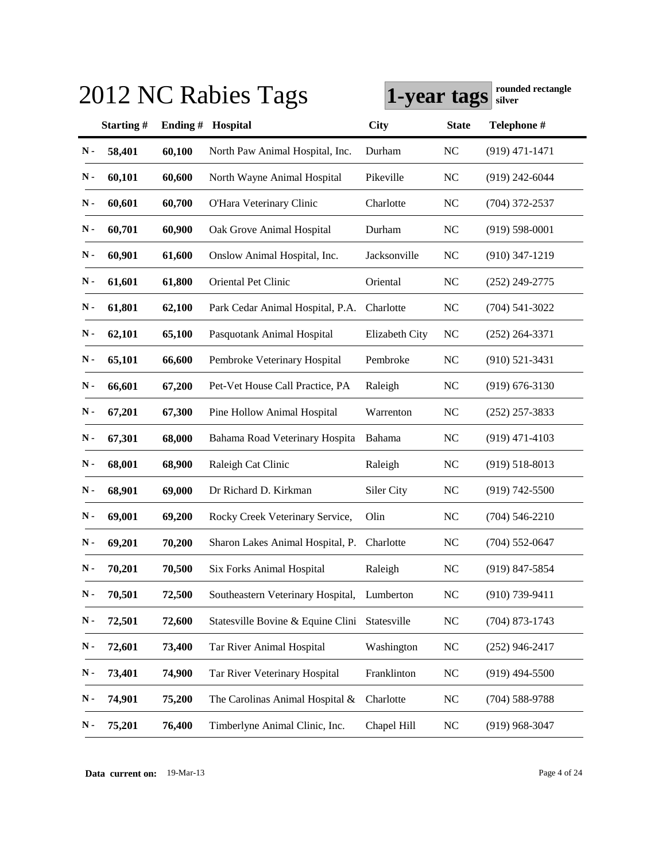| 2012 NC Rabies Tags | rounded rectangle<br>1-year tags<br>silver |         |                                   |                |              |                    |
|---------------------|--------------------------------------------|---------|-----------------------------------|----------------|--------------|--------------------|
|                     | Starting#                                  | Ending# | Hospital                          | <b>City</b>    | <b>State</b> | Telephone #        |
| $\mathbf N$ -       | 58,401                                     | 60,100  | North Paw Animal Hospital, Inc.   | Durham         | <b>NC</b>    | $(919)$ 471-1471   |
| Ν.                  | 60,101                                     | 60,600  | North Wayne Animal Hospital       | Pikeville      | <b>NC</b>    | $(919)$ 242-6044   |
| $\mathbf N$ -       | 60,601                                     | 60,700  | O'Hara Veterinary Clinic          | Charlotte      | <b>NC</b>    | $(704)$ 372-2537   |
| $\mathbf N$ -       | 60,701                                     | 60,900  | Oak Grove Animal Hospital         | Durham         | <b>NC</b>    | $(919) 598 - 0001$ |
| $\mathbf N$ -       | 60,901                                     | 61,600  | Onslow Animal Hospital, Inc.      | Jacksonville   | <b>NC</b>    | $(910)$ 347-1219   |
| $\mathbf N$ -       | 61,601                                     | 61,800  | Oriental Pet Clinic               | Oriental       | <b>NC</b>    | $(252)$ 249-2775   |
| $\mathbf N$ -       | 61,801                                     | 62,100  | Park Cedar Animal Hospital, P.A.  | Charlotte      | <b>NC</b>    | $(704)$ 541-3022   |
| $\mathbf N$ -       | 62,101                                     | 65,100  | Pasquotank Animal Hospital        | Elizabeth City | <b>NC</b>    | $(252)$ 264-3371   |
| $\mathbf N$ -       | 65,101                                     | 66,600  | Pembroke Veterinary Hospital      | Pembroke       | <b>NC</b>    | $(910)$ 521-3431   |
| $\mathbf N$ -       | 66,601                                     | 67,200  | Pet-Vet House Call Practice, PA   | Raleigh        | <b>NC</b>    | $(919) 676 - 3130$ |
| $\mathbf N$ -       | 67,201                                     | 67,300  | Pine Hollow Animal Hospital       | Warrenton      | <b>NC</b>    | $(252)$ 257-3833   |
| $\mathbf N$ -       | 67,301                                     | 68,000  | Bahama Road Veterinary Hospita    | Bahama         | <b>NC</b>    | $(919)$ 471-4103   |
| $\mathbf N$ -       | 68,001                                     | 68,900  | Raleigh Cat Clinic                | Raleigh        | <b>NC</b>    | $(919) 518 - 8013$ |
| $\mathbf N$ -       | 68,901                                     | 69,000  | Dr Richard D. Kirkman             | Siler City     | <b>NC</b>    | $(919) 742 - 5500$ |
| $\mathbf N$ -       | 69,001                                     | 69,200  | Rocky Creek Veterinary Service,   | Olin           | <b>NC</b>    | $(704)$ 546-2210   |
| Ν.                  | 69,201                                     | 70,200  | Sharon Lakes Animal Hospital, P.  | Charlotte      | <b>NC</b>    | $(704)$ 552-0647   |
| $\mathbf N$ -       | 70,201                                     | 70,500  | <b>Six Forks Animal Hospital</b>  | Raleigh        | NC           | $(919)$ 847-5854   |
| $N -$               | 70,501                                     | 72,500  | Southeastern Veterinary Hospital, | Lumberton      | <b>NC</b>    | $(910)$ 739-9411   |
| N-                  | 72,501                                     | 72,600  | Statesville Bovine & Equine Clini | Statesville    | $\rm NC$     | $(704)$ 873-1743   |
| N-                  | 72,601                                     | 73,400  | Tar River Animal Hospital         | Washington     | NC           | $(252)$ 946-2417   |
| N-                  | 73,401                                     | 74,900  | Tar River Veterinary Hospital     | Franklinton    | <b>NC</b>    | $(919)$ 494-5500   |
| N-                  | 74,901                                     | 75,200  | The Carolinas Animal Hospital &   | Charlotte      | <b>NC</b>    | $(704)$ 588-9788   |
| N-                  | 75,201                                     | 76,400  | Timberlyne Animal Clinic, Inc.    | Chapel Hill    | NC           | $(919)$ 968-3047   |

**Data current on:** 19-Mar-13 Page 4 of 24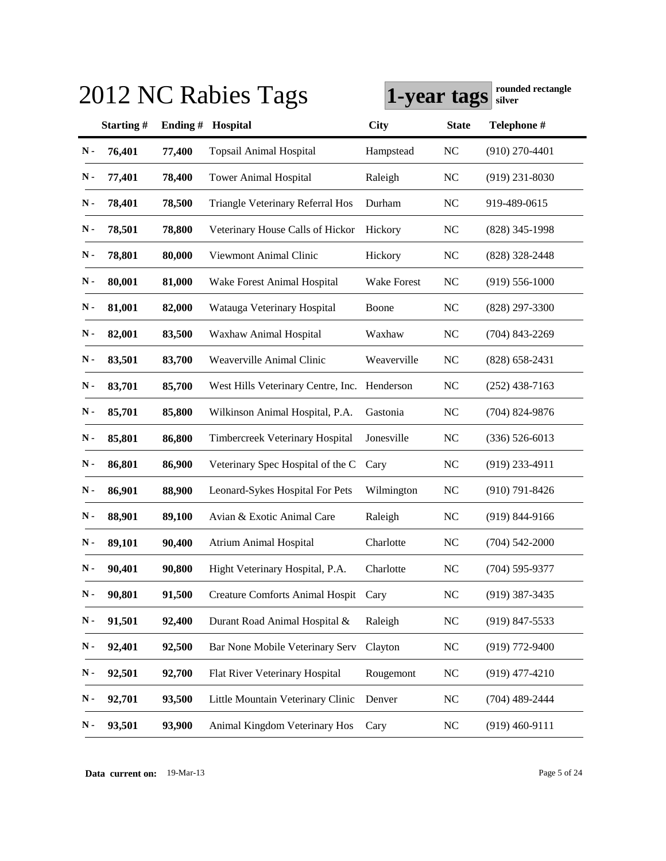|               |           |         | 2012 NC Rabies Tags                     | 1-year tags        |              | Tounded Tectangle<br>silver |
|---------------|-----------|---------|-----------------------------------------|--------------------|--------------|-----------------------------|
|               | Starting# | Ending# | Hospital                                | <b>City</b>        | <b>State</b> | Telephone #                 |
| $N -$         | 76,401    | 77,400  | <b>Topsail Animal Hospital</b>          | Hampstead          | <b>NC</b>    | $(910)$ 270-4401            |
| N-            | 77,401    | 78,400  | <b>Tower Animal Hospital</b>            | Raleigh            | <b>NC</b>    | $(919)$ 231-8030            |
| N-            | 78,401    | 78,500  | <b>Triangle Veterinary Referral Hos</b> | Durham             | <b>NC</b>    | 919-489-0615                |
| $\mathbf N$ - | 78,501    | 78,800  | Veterinary House Calls of Hickor        | Hickory            | <b>NC</b>    | $(828)$ 345-1998            |
| $\mathbf N$ - | 78,801    | 80,000  | Viewmont Animal Clinic                  | Hickory            | <b>NC</b>    | (828) 328-2448              |
| $\mathbf N$ - | 80,001    | 81,000  | Wake Forest Animal Hospital             | <b>Wake Forest</b> | <b>NC</b>    | $(919) 556 - 1000$          |
| $\mathbf N$ - | 81,001    | 82,000  | Watauga Veterinary Hospital             | Boone              | <b>NC</b>    | $(828)$ 297-3300            |
| $\mathbf N$ - | 82,001    | 83,500  | Waxhaw Animal Hospital                  | Waxhaw             | NC           | $(704)$ 843-2269            |
| $\mathbf N$ - | 83,501    | 83,700  | Weaverville Animal Clinic               | Weaverville        | NC           | $(828)$ 658-2431            |
| $\mathbf N$ - | 83,701    | 85,700  | West Hills Veterinary Centre, Inc.      | Henderson          | NC           | $(252)$ 438-7163            |
| N-            | 85,701    | 85,800  | Wilkinson Animal Hospital, P.A.         | Gastonia           | <b>NC</b>    | $(704)$ 824-9876            |
| $\mathbf N$ - | 85,801    | 86,800  | Timbercreek Veterinary Hospital         | Jonesville         | <b>NC</b>    | $(336) 526 - 6013$          |
| $\mathbf N$ - | 86,801    | 86,900  | Veterinary Spec Hospital of the C       | Cary               | <b>NC</b>    | $(919)$ 233-4911            |
| $\mathbf N$ - | 86,901    | 88,900  | Leonard-Sykes Hospital For Pets         | Wilmington         | <b>NC</b>    | $(910) 791 - 8426$          |
| $\mathbf N$ - | 88,901    | 89,100  | Avian & Exotic Animal Care              | Raleigh            | <b>NC</b>    | $(919) 844 - 9166$          |
| $\mathbf N$ - | 89,101    | 90,400  | <b>Atrium Animal Hospital</b>           | Charlotte          | <b>NC</b>    | $(704)$ 542-2000            |
| $\mathbf N$ - | 90,401    | 90,800  | Hight Veterinary Hospital, P.A.         | Charlotte          | <b>NC</b>    | $(704)$ 595-9377            |
| $N -$         | 90,801    | 91,500  | <b>Creature Comforts Animal Hospit</b>  | Cary               | <b>NC</b>    | $(919)$ 387-3435            |
| $\mathbf N$ - | 91,501    | 92,400  | Durant Road Animal Hospital &           | Raleigh            | <b>NC</b>    | $(919)$ 847-5533            |
| $\mathbf N$ - | 92,401    | 92,500  | Bar None Mobile Veterinary Serv         | Clayton            | <b>NC</b>    | $(919)$ 772-9400            |
| $\mathbf N$ - | 92,501    | 92,700  | Flat River Veterinary Hospital          | Rougemont          | <b>NC</b>    | $(919)$ 477-4210            |
| $\mathbf N$ - | 92,701    | 93,500  | Little Mountain Veterinary Clinic       | Denver             | <b>NC</b>    | $(704)$ 489-2444            |
| $\mathbf N$ - | 93,501    | 93,900  | Animal Kingdom Veterinary Hos           | Cary               | <b>NC</b>    | $(919)$ 460-9111            |

**1-year tags rounded rectangle** 2012 NC Rabies Tags **since the Council Contract Council** 2013 NC Rabitation Council 2013 NC Rabitation Council 2013 NC Rabitation Council 2013 NC Rabitation Council 2013 NC Rabitation Coun

**Data current on:** 19-Mar-13 Page 5 of 24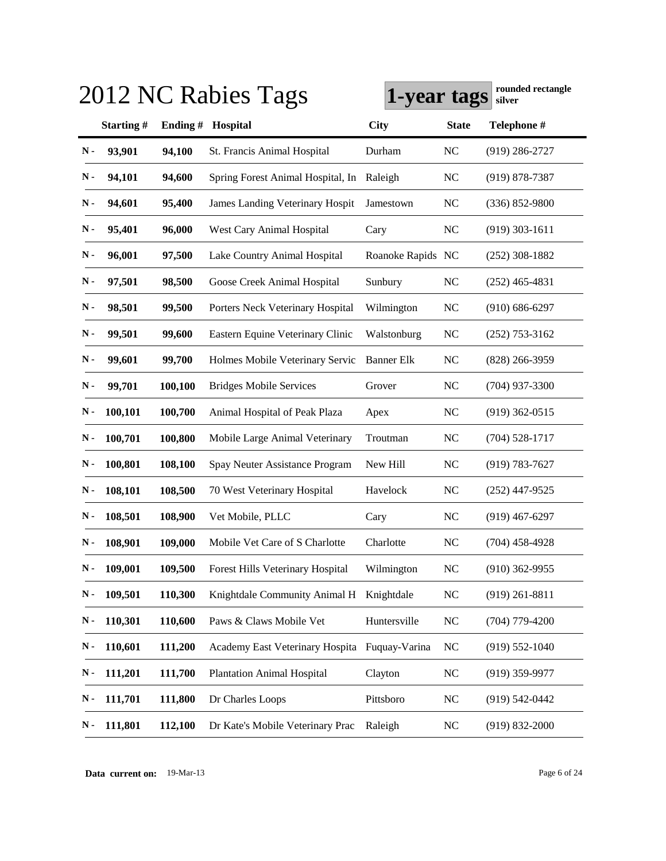|               | 2012 NC Rabies Tags | 1-year tags | rounded rectangle<br>silver                   |                   |              |                    |
|---------------|---------------------|-------------|-----------------------------------------------|-------------------|--------------|--------------------|
|               | Starting#           | Ending#     | Hospital                                      | <b>City</b>       | <b>State</b> | Telephone #        |
| N-            | 93,901              | 94,100      | St. Francis Animal Hospital                   | Durham            | <b>NC</b>    | $(919)$ 286-2727   |
| N -           | 94,101              | 94,600      | Spring Forest Animal Hospital, In             | Raleigh           | <b>NC</b>    | $(919) 878 - 7387$ |
| N -           | 94,601              | 95,400      | James Landing Veterinary Hospit               | Jamestown         | <b>NC</b>    | $(336) 852 - 9800$ |
| N-            | 95,401              | 96,000      | West Cary Animal Hospital                     | Cary              | <b>NC</b>    | $(919)$ 303-1611   |
| N-            | 96,001              | 97,500      | Lake Country Animal Hospital                  | Roanoke Rapids NC |              | $(252)$ 308-1882   |
| $\mathbf N$ - | 97,501              | 98,500      | Goose Creek Animal Hospital                   | Sunbury           | <b>NC</b>    | $(252)$ 465-4831   |
| $\mathbf N$ - | 98,501              | 99,500      | Porters Neck Veterinary Hospital              | Wilmington        | <b>NC</b>    | $(910) 686 - 6297$ |
| $\mathbf N$ - | 99,501              | 99,600      | Eastern Equine Veterinary Clinic              | Walstonburg       | <b>NC</b>    | $(252)$ 753-3162   |
| $\mathbf N$ - | 99,601              | 99,700      | Holmes Mobile Veterinary Servic               | <b>Banner Elk</b> | <b>NC</b>    | $(828)$ 266-3959   |
| N-            | 99,701              | 100,100     | <b>Bridges Mobile Services</b>                | Grover            | <b>NC</b>    | $(704)$ 937-3300   |
| N -           | 100,101             | 100,700     | Animal Hospital of Peak Plaza                 | Apex              | <b>NC</b>    | $(919)$ 362-0515   |
| N -           | 100,701             | 100,800     | Mobile Large Animal Veterinary                | Troutman          | <b>NC</b>    | $(704) 528 - 1717$ |
| N -           | 100,801             | 108,100     | Spay Neuter Assistance Program                | New Hill          | <b>NC</b>    | $(919) 783 - 7627$ |
| Ν.            | 108,101             | 108,500     | 70 West Veterinary Hospital                   | Havelock          | <b>NC</b>    | $(252)$ 447-9525   |
| Ν.            | 108,501             | 108,900     | Vet Mobile, PLLC                              | Cary              | <b>NC</b>    | $(919)$ 467-6297   |
| Ν.            | 108,901             | 109,000     | Mobile Vet Care of S Charlotte                | Charlotte         | <b>NC</b>    | $(704)$ 458-4928   |
| $\mathbf N$ - | 109,001             | 109,500     | Forest Hills Veterinary Hospital              | Wilmington        | NC           | $(910)$ 362-9955   |
| N-            | 109,501             | 110,300     | Knightdale Community Animal H Knightdale      |                   | NC           | $(919)$ 261-8811   |
| N-            | 110,301             | 110,600     | Paws & Claws Mobile Vet                       | Huntersville      | <b>NC</b>    | $(704)$ 779-4200   |
| N-            | 110,601             | 111,200     | Academy East Veterinary Hospita Fuquay-Varina |                   | <b>NC</b>    | $(919) 552 - 1040$ |
| N-            | 111,201             | 111,700     | <b>Plantation Animal Hospital</b>             | Clayton           | NC           | $(919)$ 359-9977   |
| $\mathbf N$ - | 111,701             | 111,800     | Dr Charles Loops                              | Pittsboro         | <b>NC</b>    | $(919) 542 - 0442$ |
| N-            | 111,801             | 112,100     | Dr Kate's Mobile Veterinary Prac              | Raleigh           | <b>NC</b>    | $(919) 832 - 2000$ |

**Data current on:** 19-Mar-13 Page 6 of 24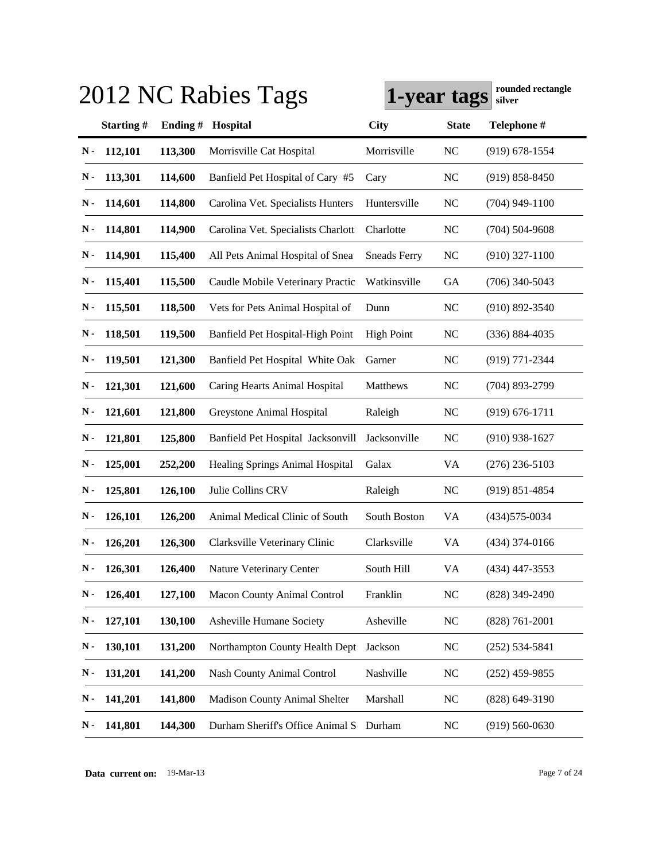| 2012 NC Rabies Tags<br>1-year tags |           |         |                                      |                     |              | rounded rectangle<br>silver |
|------------------------------------|-----------|---------|--------------------------------------|---------------------|--------------|-----------------------------|
|                                    | Starting# | Ending# | Hospital                             | <b>City</b>         | <b>State</b> | Telephone #                 |
| N-                                 | 112,101   | 113,300 | Morrisville Cat Hospital             | Morrisville         | <b>NC</b>    | $(919) 678 - 1554$          |
| N-                                 | 113,301   | 114,600 | Banfield Pet Hospital of Cary #5     | Cary                | <b>NC</b>    | $(919) 858 - 8450$          |
| N-                                 | 114,601   | 114,800 | Carolina Vet. Specialists Hunters    | Huntersville        | <b>NC</b>    | $(704)$ 949-1100            |
| N-                                 | 114,801   | 114,900 | Carolina Vet. Specialists Charlott   | Charlotte           | <b>NC</b>    | $(704) 504 - 9608$          |
| N-                                 | 114,901   | 115,400 | All Pets Animal Hospital of Snea     | <b>Sneads Ferry</b> | <b>NC</b>    | $(910)$ 327-1100            |
| N-                                 | 115,401   | 115,500 | Caudle Mobile Veterinary Practic     | Watkinsville        | <b>GA</b>    | $(706)$ 340-5043            |
| $\mathbf N$ -                      | 115,501   | 118,500 | Vets for Pets Animal Hospital of     | Dunn                | <b>NC</b>    | $(910) 892 - 3540$          |
| $\mathbf N$ -                      | 118,501   | 119,500 | Banfield Pet Hospital-High Point     | <b>High Point</b>   | <b>NC</b>    | $(336) 884 - 4035$          |
| N-                                 | 119,501   | 121,300 | Banfield Pet Hospital White Oak      | Garner              | <b>NC</b>    | (919) 771-2344              |
| N-                                 | 121,301   | 121,600 | Caring Hearts Animal Hospital        | Matthews            | <b>NC</b>    | $(704)$ 893-2799            |
| N-                                 | 121,601   | 121,800 | Greystone Animal Hospital            | Raleigh             | <b>NC</b>    | $(919) 676 - 1711$          |
| N-                                 | 121,801   | 125,800 | Banfield Pet Hospital Jacksonvill    | Jacksonville        | <b>NC</b>    | $(910)$ 938-1627            |
| N-                                 | 125,001   | 252,200 | Healing Springs Animal Hospital      | Galax               | VA           | $(276)$ 236-5103            |
| $\mathbf N$ -                      | 125,801   | 126,100 | Julie Collins CRV                    | Raleigh             | <b>NC</b>    | $(919) 851 - 4854$          |
| Ν.                                 | 126,101   | 126,200 | Animal Medical Clinic of South       | South Boston        | VA           | (434) 575-0034              |
| Ν.                                 | 126,201   | 126,300 | Clarksville Veterinary Clinic        | Clarksville         | VA           | $(434)$ 374-0166            |
| $\mathbf N$ -                      | 126,301   | 126,400 | Nature Veterinary Center             | South Hill          | VA           | $(434)$ 447-3553            |
| N-                                 | 126,401   | 127,100 | <b>Macon County Animal Control</b>   | Franklin            | <b>NC</b>    | (828) 349-2490              |
| $\mathbf N$ -                      | 127,101   | 130,100 | Asheville Humane Society             | Asheville           | <b>NC</b>    | $(828) 761 - 2001$          |
| $\mathbf N$ -                      | 130,101   | 131,200 | Northampton County Health Dept       | Jackson             | <b>NC</b>    | $(252) 534 - 5841$          |
| N-                                 | 131,201   | 141,200 | Nash County Animal Control           | Nashville           | <b>NC</b>    | $(252)$ 459-9855            |
| $\mathbf N$ -                      | 141,201   | 141,800 | <b>Madison County Animal Shelter</b> | Marshall            | <b>NC</b>    | $(828)$ 649-3190            |
| N-                                 | 141,801   | 144,300 | Durham Sheriff's Office Animal S     | Durham              | <b>NC</b>    | $(919) 560 - 0630$          |

**Data current on:** 19-Mar-13 Page 7 of 24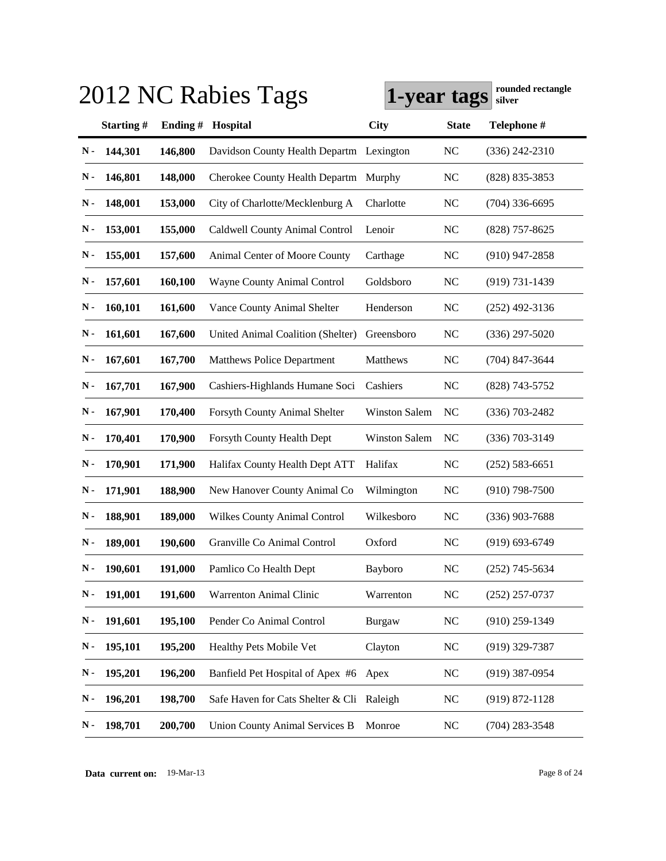|               |           |         | 2012 NC Rabies Tags                       | 1-year tags          |              | rounded rectangle<br>silver |
|---------------|-----------|---------|-------------------------------------------|----------------------|--------------|-----------------------------|
|               | Starting# | Ending# | Hospital                                  | <b>City</b>          | <b>State</b> | Telephone #                 |
| N-            | 144,301   | 146,800 | Davidson County Health Departm Lexington  |                      | <b>NC</b>    | $(336)$ 242-2310            |
| N -           | 146,801   | 148,000 | Cherokee County Health Departm            | Murphy               | NC           | $(828) 835 - 3853$          |
| N -           | 148,001   | 153,000 | City of Charlotte/Mecklenburg A           | Charlotte            | NC           | $(704)$ 336-6695            |
| N-            | 153,001   | 155,000 | Caldwell County Animal Control            | Lenoir               | NC           | $(828)$ 757-8625            |
| N-            | 155,001   | 157,600 | Animal Center of Moore County             | Carthage             | <b>NC</b>    | $(910)$ 947-2858            |
| N-            | 157,601   | 160,100 | Wayne County Animal Control               | Goldsboro            | <b>NC</b>    | $(919) 731 - 1439$          |
| N-            | 160,101   | 161,600 | Vance County Animal Shelter               | Henderson            | NC           | $(252)$ 492-3136            |
| N-            | 161,601   | 167,600 | United Animal Coalition (Shelter)         | Greensboro           | <b>NC</b>    | $(336)$ 297-5020            |
| N-            | 167,601   | 167,700 | <b>Matthews Police Department</b>         | Matthews             | <b>NC</b>    | $(704)$ 847-3644            |
| N-            | 167,701   | 167,900 | Cashiers-Highlands Humane Soci            | Cashiers             | NC           | (828) 743-5752              |
| N-            | 167,901   | 170,400 | Forsyth County Animal Shelter             | <b>Winston Salem</b> | NC           | $(336)$ 703-2482            |
| N -           | 170,401   | 170,900 | Forsyth County Health Dept                | <b>Winston Salem</b> | NC           | $(336)$ 703-3149            |
| N-            | 170,901   | 171,900 | Halifax County Health Dept ATT            | Halifax              | <b>NC</b>    | $(252) 583 - 6651$          |
| N-            | 171,901   | 188,900 | New Hanover County Animal Co              | Wilmington           | NC           | $(910)$ 798-7500            |
| N -           | 188,901   | 189,000 | <b>Wilkes County Animal Control</b>       | Wilkesboro           | <b>NC</b>    | $(336)$ 903-7688            |
| Ν.            | 189,001   | 190,600 | Granville Co Animal Control               | Oxford               | <b>NC</b>    | $(919) 693 - 6749$          |
| $\mathbf N$ - | 190,601   | 191,000 | Pamlico Co Health Dept                    | Bayboro              | NC           | $(252)$ 745-5634            |
| N-            | 191,001   | 191,600 | Warrenton Animal Clinic                   | Warrenton            | <b>NC</b>    | $(252)$ 257-0737            |
| N-            | 191,601   | 195,100 | Pender Co Animal Control                  | <b>Burgaw</b>        | <b>NC</b>    | $(910)$ 259-1349            |
| $\mathbf N$ - | 195,101   | 195,200 | Healthy Pets Mobile Vet                   | Clayton              | <b>NC</b>    | $(919)$ 329-7387            |
| N-            | 195,201   | 196,200 | Banfield Pet Hospital of Apex #6          | Apex                 | <b>NC</b>    | $(919)$ 387-0954            |
| $\mathbf N$ - | 196,201   | 198,700 | Safe Haven for Cats Shelter & Cli Raleigh |                      | <b>NC</b>    | $(919) 872 - 1128$          |
| N-            | 198,701   | 200,700 | <b>Union County Animal Services B</b>     | Monroe               | <b>NC</b>    | $(704)$ 283-3548            |

**Data current on:** 19-Mar-13 Page 8 of 24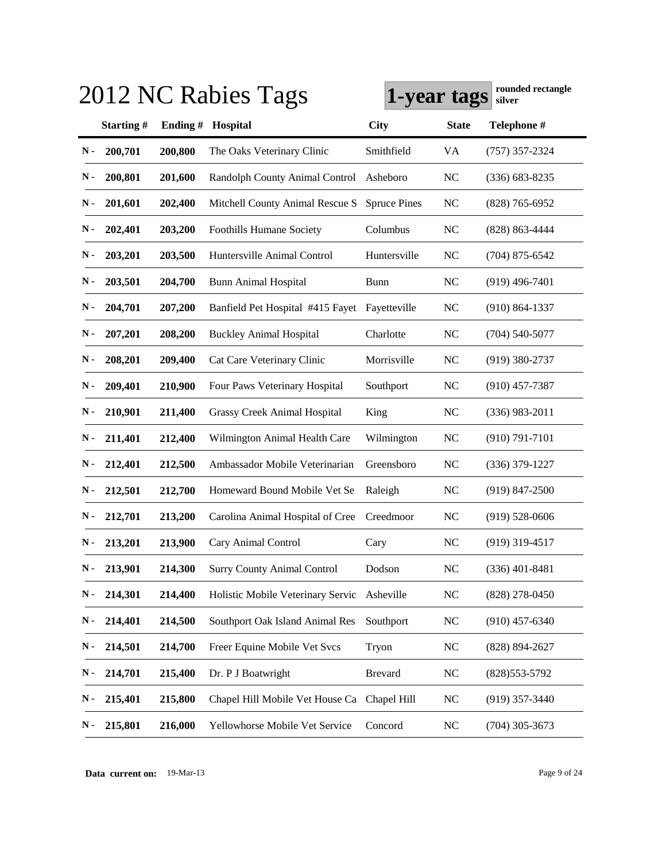| 2012 NC Rabies Tags | rounded rectangle<br>1-year tags<br>silver |         |                                             |                     |              |                    |
|---------------------|--------------------------------------------|---------|---------------------------------------------|---------------------|--------------|--------------------|
|                     | Starting#                                  | Ending# | Hospital                                    | <b>City</b>         | <b>State</b> | Telephone #        |
| N-                  | 200,701                                    | 200,800 | The Oaks Veterinary Clinic                  | Smithfield          | VA           | $(757)$ 357-2324   |
| N -                 | 200,801                                    | 201,600 | Randolph County Animal Control              | Asheboro            | <b>NC</b>    | $(336) 683 - 8235$ |
| N -                 | 201,601                                    | 202,400 | Mitchell County Animal Rescue S             | <b>Spruce Pines</b> | <b>NC</b>    | $(828)$ 765-6952   |
| N -                 | 202,401                                    | 203,200 | <b>Foothills Humane Society</b>             | Columbus            | <b>NC</b>    | $(828) 863 - 4444$ |
| N -                 | 203,201                                    | 203,500 | Huntersville Animal Control                 | Huntersville        | <b>NC</b>    | $(704)$ 875-6542   |
| N -                 | 203,501                                    | 204,700 | <b>Bunn Animal Hospital</b>                 | <b>Bunn</b>         | <b>NC</b>    | $(919)$ 496-7401   |
| N -                 | 204,701                                    | 207,200 | Banfield Pet Hospital #415 Fayet            | Fayetteville        | <b>NC</b>    | $(910) 864 - 1337$ |
| N -                 | 207,201                                    | 208,200 | <b>Buckley Animal Hospital</b>              | Charlotte           | <b>NC</b>    | $(704)$ 540-5077   |
| N -                 | 208,201                                    | 209,400 | Cat Care Veterinary Clinic                  | Morrisville         | <b>NC</b>    | $(919)$ 380-2737   |
| Ν.                  | 209,401                                    | 210,900 | Four Paws Veterinary Hospital               | Southport           | <b>NC</b>    | $(910)$ 457-7387   |
| Ν.                  | 210,901                                    | 211,400 | <b>Grassy Creek Animal Hospital</b>         | King                | <b>NC</b>    | $(336)$ 983-2011   |
| N -                 | 211,401                                    | 212,400 | Wilmington Animal Health Care               | Wilmington          | <b>NC</b>    | $(910) 791 - 7101$ |
| N -                 | 212,401                                    | 212,500 | Ambassador Mobile Veterinarian              | Greensboro          | <b>NC</b>    | $(336)$ 379-1227   |
| N -                 | 212,501                                    | 212,700 | Homeward Bound Mobile Vet Se                | Raleigh             | <b>NC</b>    | $(919)$ 847-2500   |
| Ν.                  | 212,701                                    | 213,200 | Carolina Animal Hospital of Cree            | Creedmoor           | <b>NC</b>    | $(919) 528 - 0606$ |
| Ν.                  | 213,201                                    | 213,900 | Cary Animal Control                         | Cary                | <b>NC</b>    | $(919)$ 319-4517   |
| $\mathbf N$ -       | 213,901                                    | 214,300 | <b>Surry County Animal Control</b>          | Dodson              | NC           | $(336)$ 401-8481   |
| N-                  | 214,301                                    | 214,400 | Holistic Mobile Veterinary Servic           | Asheville           | NC           | $(828)$ 278-0450   |
| N-                  | 214,401                                    | 214,500 | Southport Oak Island Animal Res             | Southport           | NC           | $(910)$ 457-6340   |
| N-                  | 214,501                                    | 214,700 | Freer Equine Mobile Vet Svcs                | Tryon               | <b>NC</b>    | $(828) 894 - 2627$ |
| N-                  | 214,701                                    | 215,400 | Dr. P J Boatwright                          | <b>Brevard</b>      | <b>NC</b>    | $(828)553-5792$    |
| N-                  | 215,401                                    | 215,800 | Chapel Hill Mobile Vet House Ca Chapel Hill |                     | <b>NC</b>    | $(919)$ 357-3440   |
| N-                  | 215,801                                    | 216,000 | Yellowhorse Mobile Vet Service              | Concord             | NC           | $(704)$ 305-3673   |

**Data current on:** 19-Mar-13 Page 9 of 24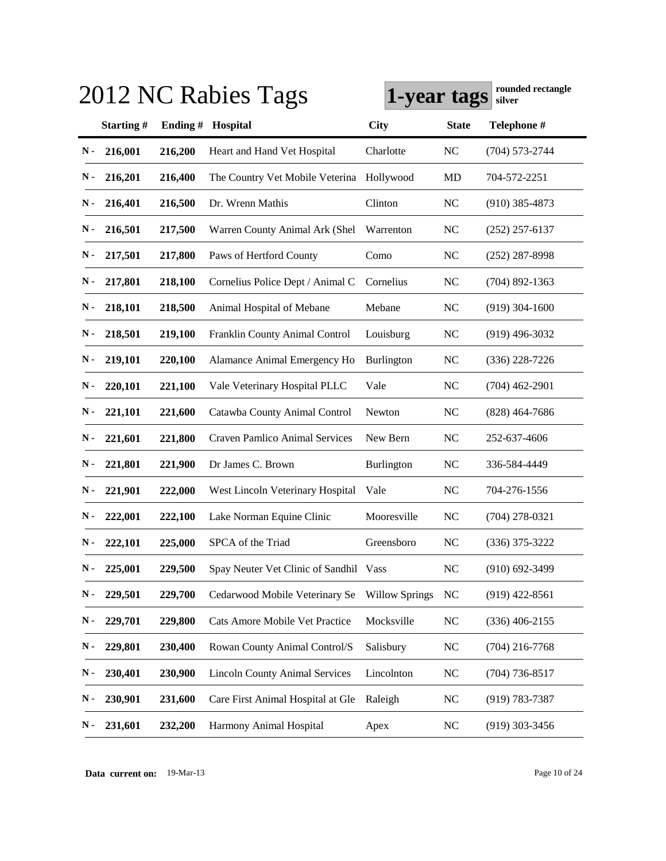| rounded rectangle<br>2012 NC Rabies Tags<br>1-year tags<br>silver |           |         |                                        |                       |              |                    |  |
|-------------------------------------------------------------------|-----------|---------|----------------------------------------|-----------------------|--------------|--------------------|--|
|                                                                   | Starting# | Ending# | Hospital                               | <b>City</b>           | <b>State</b> | Telephone #        |  |
| N-                                                                | 216,001   | 216,200 | Heart and Hand Vet Hospital            | Charlotte             | <b>NC</b>    | $(704) 573 - 2744$ |  |
| N-                                                                | 216,201   | 216,400 | The Country Vet Mobile Veterina        | Hollywood             | MD           | 704-572-2251       |  |
| N -                                                               | 216,401   | 216,500 | Dr. Wrenn Mathis                       | Clinton               | <b>NC</b>    | $(910)$ 385-4873   |  |
| N-                                                                | 216,501   | 217,500 | Warren County Animal Ark (Shel         | Warrenton             | <b>NC</b>    | $(252)$ 257-6137   |  |
| N-                                                                | 217,501   | 217,800 | Paws of Hertford County                | Como                  | <b>NC</b>    | $(252)$ 287-8998   |  |
| N-                                                                | 217,801   | 218,100 | Cornelius Police Dept / Animal C       | Cornelius             | <b>NC</b>    | $(704)$ 892-1363   |  |
| N-                                                                | 218,101   | 218,500 | Animal Hospital of Mebane              | Mebane                | <b>NC</b>    | $(919)$ 304-1600   |  |
| N-                                                                | 218,501   | 219,100 | Franklin County Animal Control         | Louisburg             | <b>NC</b>    | $(919)$ 496-3032   |  |
| N-                                                                | 219,101   | 220,100 | Alamance Animal Emergency Ho           | Burlington            | <b>NC</b>    | $(336)$ 228-7226   |  |
| N -                                                               | 220,101   | 221,100 | Vale Veterinary Hospital PLLC          | Vale                  | <b>NC</b>    | $(704)$ 462-2901   |  |
| Ν.                                                                | 221,101   | 221,600 | Catawba County Animal Control          | Newton                | <b>NC</b>    | $(828)$ 464-7686   |  |
| N -                                                               | 221,601   | 221,800 | <b>Craven Pamlico Animal Services</b>  | New Bern              | <b>NC</b>    | 252-637-4606       |  |
| N -                                                               | 221,801   | 221,900 | Dr James C. Brown                      | Burlington            | <b>NC</b>    | 336-584-4449       |  |
| N -                                                               | 221,901   | 222,000 | West Lincoln Veterinary Hospital       | Vale                  | <b>NC</b>    | 704-276-1556       |  |
| Ν.                                                                | 222,001   | 222,100 | Lake Norman Equine Clinic              | Mooresville           | <b>NC</b>    | $(704)$ 278-0321   |  |
| Ν.                                                                | 222,101   | 225,000 | SPCA of the Triad                      | Greensboro            | <b>NC</b>    | $(336)$ 375-3222   |  |
| $\mathbf N$ -                                                     | 225,001   | 229,500 | Spay Neuter Vet Clinic of Sandhil Vass |                       | NC           | $(910)$ 692-3499   |  |
| N-                                                                | 229,501   | 229,700 | Cedarwood Mobile Veterinary Se         | <b>Willow Springs</b> | <b>NC</b>    | $(919)$ 422-8561   |  |
| $\mathbf N$ -                                                     | 229,701   | 229,800 | Cats Amore Mobile Vet Practice         | Mocksville            | NC           | $(336)$ 406-2155   |  |
| $\mathbf N$ -                                                     | 229,801   | 230,400 | Rowan County Animal Control/S          | Salisbury             | <b>NC</b>    | $(704)$ 216-7768   |  |
| $\mathbf N$ -                                                     | 230,401   | 230,900 | <b>Lincoln County Animal Services</b>  | Lincolnton            | <b>NC</b>    | $(704)$ 736-8517   |  |
| $\mathbf N$ -                                                     | 230,901   | 231,600 | Care First Animal Hospital at Gle      | Raleigh               | <b>NC</b>    | $(919) 783 - 7387$ |  |
| N-                                                                | 231,601   | 232,200 | Harmony Animal Hospital                | Apex                  | NC           | $(919)$ 303-3456   |  |

**Data current on:** 19-Mar-13 Page 10 of 24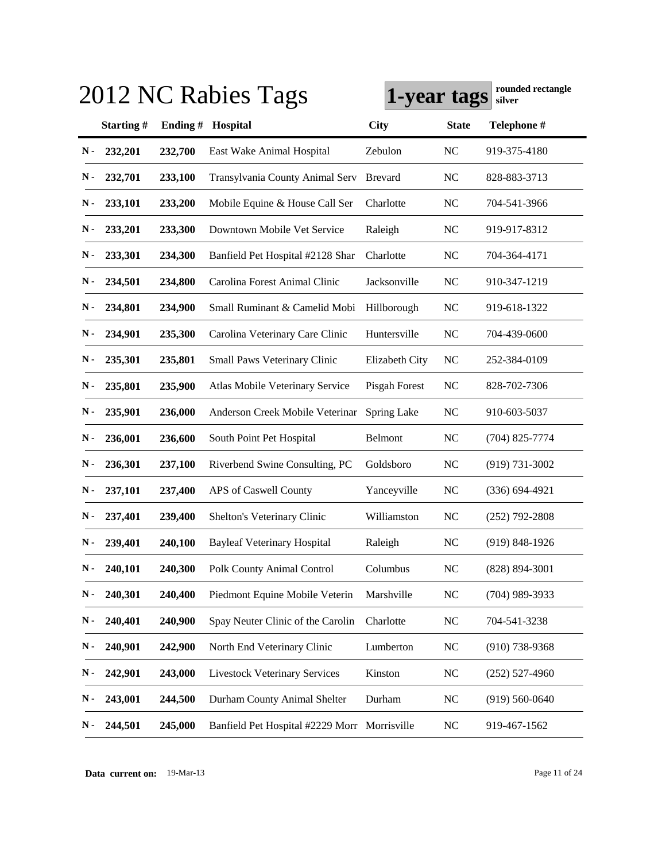| 2012 NC Rabies Tags | rounded rectangle<br>1-year tags<br>silver |         |                                              |                |              |                    |
|---------------------|--------------------------------------------|---------|----------------------------------------------|----------------|--------------|--------------------|
|                     | Starting#                                  | Ending# | Hospital                                     | <b>City</b>    | <b>State</b> | Telephone #        |
| N-                  | 232,201                                    | 232,700 | East Wake Animal Hospital                    | Zebulon        | NC           | 919-375-4180       |
| N -                 | 232,701                                    | 233,100 | Transylvania County Animal Serv              | <b>Brevard</b> | <b>NC</b>    | 828-883-3713       |
| N -                 | 233,101                                    | 233,200 | Mobile Equine & House Call Ser               | Charlotte      | <b>NC</b>    | 704-541-3966       |
| N-                  | 233,201                                    | 233,300 | Downtown Mobile Vet Service                  | Raleigh        | <b>NC</b>    | 919-917-8312       |
| N-                  | 233,301                                    | 234,300 | Banfield Pet Hospital #2128 Shar             | Charlotte      | <b>NC</b>    | 704-364-4171       |
| N -                 | 234,501                                    | 234,800 | Carolina Forest Animal Clinic                | Jacksonville   | <b>NC</b>    | 910-347-1219       |
| N -                 | 234,801                                    | 234,900 | Small Ruminant & Camelid Mobi                | Hillborough    | <b>NC</b>    | 919-618-1322       |
| Ν.                  | 234,901                                    | 235,300 | Carolina Veterinary Care Clinic              | Huntersville   | <b>NC</b>    | 704-439-0600       |
| N -                 | 235,301                                    | 235,801 | Small Paws Veterinary Clinic                 | Elizabeth City | <b>NC</b>    | 252-384-0109       |
| N-                  | 235,801                                    | 235,900 | Atlas Mobile Veterinary Service              | Pisgah Forest  | <b>NC</b>    | 828-702-7306       |
| N -                 | 235,901                                    | 236,000 | Anderson Creek Mobile Veterinar              | Spring Lake    | <b>NC</b>    | 910-603-5037       |
| N -                 | 236,001                                    | 236,600 | South Point Pet Hospital                     | Belmont        | <b>NC</b>    | $(704)$ 825-7774   |
| N -                 | 236,301                                    | 237,100 | Riverbend Swine Consulting, PC               | Goldsboro      | <b>NC</b>    | $(919) 731 - 3002$ |
| $\mathbf N$ -       | 237,101                                    | 237,400 | APS of Caswell County                        | Yanceyville    | <b>NC</b>    | $(336) 694 - 4921$ |
| Ν.                  | 237,401                                    | 239,400 | Shelton's Veterinary Clinic                  | Williamston    | <b>NC</b>    | $(252)$ 792-2808   |
| Ν.                  | 239,401                                    | 240,100 | <b>Bayleaf Veterinary Hospital</b>           | Raleigh        | <b>NC</b>    | $(919) 848 - 1926$ |
| $\mathbf N$ -       | 240,101                                    | 240,300 | <b>Polk County Animal Control</b>            | Columbus       | NC           | $(828) 894 - 3001$ |
| N-                  | 240,301                                    | 240,400 | Piedmont Equine Mobile Veterin               | Marshville     | <b>NC</b>    | $(704)$ 989-3933   |
| $\mathbf N$ -       | 240,401                                    | 240,900 | Spay Neuter Clinic of the Carolin            | Charlotte      | <b>NC</b>    | 704-541-3238       |
| ${\bf N}$ -         | 240,901                                    | 242,900 | North End Veterinary Clinic                  | Lumberton      | <b>NC</b>    | $(910)$ 738-9368   |
| $\mathbf N$ -       | 242,901                                    | 243,000 | <b>Livestock Veterinary Services</b>         | Kinston        | <b>NC</b>    | $(252)$ 527-4960   |
| $\mathbf N$ -       | 243,001                                    | 244,500 | Durham County Animal Shelter                 | Durham         | <b>NC</b>    | $(919) 560 - 0640$ |
| N-                  | 244,501                                    | 245,000 | Banfield Pet Hospital #2229 Morr Morrisville |                | <b>NC</b>    | 919-467-1562       |

**Data current on:** 19-Mar-13 Page 11 of 24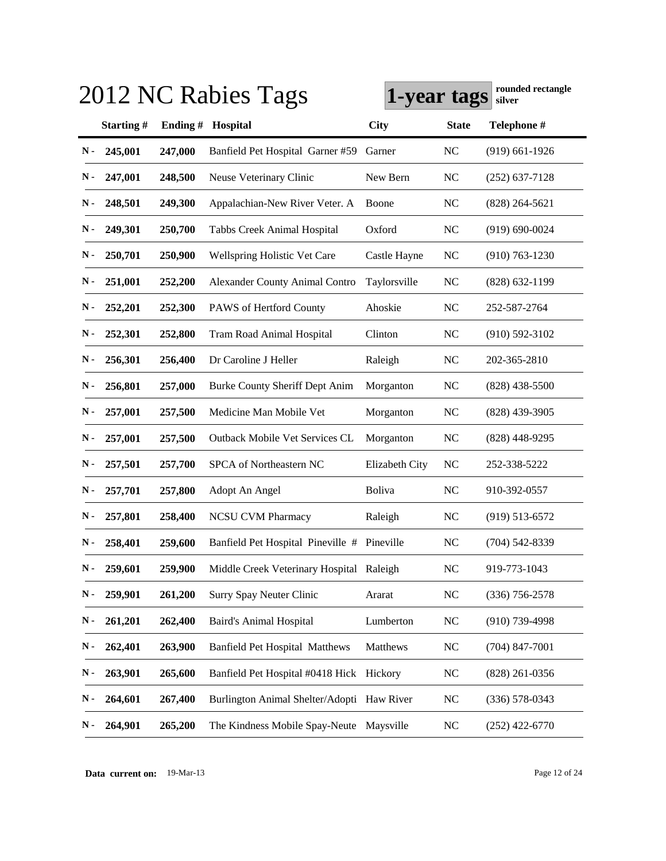|               |           |         | 2012 NC Rabies Tags                         | 1-year tags    |              | rounded rectangle<br>silver |
|---------------|-----------|---------|---------------------------------------------|----------------|--------------|-----------------------------|
|               | Starting# | Ending# | Hospital                                    | <b>City</b>    | <b>State</b> | Telephone #                 |
| N-            | 245,001   | 247,000 | Banfield Pet Hospital Garner #59            | Garner         | <b>NC</b>    | $(919)$ 661-1926            |
| N -           | 247,001   | 248,500 | Neuse Veterinary Clinic                     | New Bern       | NC           | $(252)$ 637-7128            |
| N-            | 248,501   | 249,300 | Appalachian-New River Veter. A              | Boone          | NC           | $(828)$ 264-5621            |
| N-            | 249,301   | 250,700 | Tabbs Creek Animal Hospital                 | Oxford         | <b>NC</b>    | $(919) 690 - 0024$          |
| N-            | 250,701   | 250,900 | <b>Wellspring Holistic Vet Care</b>         | Castle Hayne   | <b>NC</b>    | $(910) 763 - 1230$          |
| N-            | 251,001   | 252,200 | <b>Alexander County Animal Contro</b>       | Taylorsville   | <b>NC</b>    | $(828)$ 632-1199            |
| N-            | 252,201   | 252,300 | PAWS of Hertford County                     | Ahoskie        | NC           | 252-587-2764                |
| N-            | 252,301   | 252,800 | <b>Tram Road Animal Hospital</b>            | Clinton        | <b>NC</b>    | $(910) 592 - 3102$          |
| N-            | 256,301   | 256,400 | Dr Caroline J Heller                        | Raleigh        | <b>NC</b>    | 202-365-2810                |
| N-            | 256,801   | 257,000 | Burke County Sheriff Dept Anim              | Morganton      | NC           | $(828)$ 438-5500            |
| N-            | 257,001   | 257,500 | Medicine Man Mobile Vet                     | Morganton      | NC           | $(828)$ 439-3905            |
| N-            | 257,001   | 257,500 | Outback Mobile Vet Services CL              | Morganton      | <b>NC</b>    | $(828)$ 448-9295            |
| N-            | 257,501   | 257,700 | SPCA of Northeastern NC                     | Elizabeth City | <b>NC</b>    | 252-338-5222                |
| N-            | 257,701   | 257,800 | Adopt An Angel                              | <b>Boliva</b>  | <b>NC</b>    | 910-392-0557                |
| N-            | 257,801   | 258,400 | <b>NCSU CVM Pharmacy</b>                    | Raleigh        | <b>NC</b>    | $(919) 513 - 6572$          |
| N -           | 258,401   | 259,600 | Banfield Pet Hospital Pineville # Pineville |                | <b>NC</b>    | (704) 542-8339              |
| $\mathbf N$ - | 259,601   | 259,900 | Middle Creek Veterinary Hospital Raleigh    |                | NC           | 919-773-1043                |
| N-            | 259,901   | 261,200 | <b>Surry Spay Neuter Clinic</b>             | Ararat         | <b>NC</b>    | $(336)$ 756-2578            |
| N-            | 261,201   | 262,400 | <b>Baird's Animal Hospital</b>              | Lumberton      | <b>NC</b>    | $(910)$ 739-4998            |
| N-            | 262,401   | 263,900 | <b>Banfield Pet Hospital Matthews</b>       | Matthews       | <b>NC</b>    | $(704)$ 847-7001            |
| N-            | 263,901   | 265,600 | Banfield Pet Hospital #0418 Hick Hickory    |                | <b>NC</b>    | $(828)$ 261-0356            |
| $\mathbf N$ - | 264,601   | 267,400 | Burlington Animal Shelter/Adopti Haw River  |                | <b>NC</b>    | $(336)$ 578-0343            |
| $\mathbf N$ - | 264,901   | 265,200 | The Kindness Mobile Spay-Neute              | Maysville      | <b>NC</b>    | $(252)$ 422-6770            |

**Data current on:** 19-Mar-13 Page 12 of 24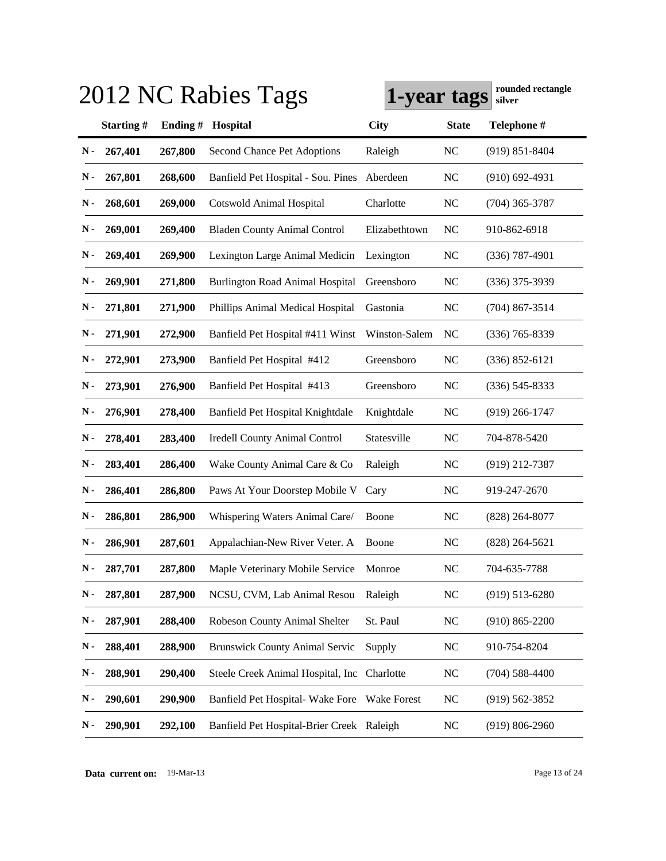| 2012 NC Rabies Tags | rounded rectangle<br>1-year tags<br>silver |         |                                           |                    |              |                    |
|---------------------|--------------------------------------------|---------|-------------------------------------------|--------------------|--------------|--------------------|
|                     | Starting#                                  | Ending# | Hospital                                  | <b>City</b>        | <b>State</b> | Telephone #        |
| N-                  | 267,401                                    | 267,800 | <b>Second Chance Pet Adoptions</b>        | Raleigh            | <b>NC</b>    | $(919) 851 - 8404$ |
| N-                  | 267,801                                    | 268,600 | Banfield Pet Hospital - Sou. Pines        | Aberdeen           | <b>NC</b>    | $(910)$ 692-4931   |
| N -                 | 268,601                                    | 269,000 | <b>Cotswold Animal Hospital</b>           | Charlotte          | <b>NC</b>    | $(704)$ 365-3787   |
| N-                  | 269,001                                    | 269,400 | <b>Bladen County Animal Control</b>       | Elizabethtown      | <b>NC</b>    | 910-862-6918       |
| N-                  | 269,401                                    | 269,900 | Lexington Large Animal Medicin            | Lexington          | <b>NC</b>    | $(336)$ 787-4901   |
| N-                  | 269,901                                    | 271,800 | <b>Burlington Road Animal Hospital</b>    | Greensboro         | <b>NC</b>    | $(336)$ 375-3939   |
| N-                  | 271,801                                    | 271,900 | Phillips Animal Medical Hospital          | Gastonia           | <b>NC</b>    | $(704)$ 867-3514   |
| N-                  | 271,901                                    | 272,900 | Banfield Pet Hospital #411 Winst          | Winston-Salem      | <b>NC</b>    | $(336)$ 765-8339   |
| N -                 | 272,901                                    | 273,900 | Banfield Pet Hospital #412                | Greensboro         | <b>NC</b>    | $(336) 852 - 6121$ |
| N -                 | 273,901                                    | 276,900 | Banfield Pet Hospital #413                | Greensboro         | <b>NC</b>    | $(336)$ 545-8333   |
| N -                 | 276,901                                    | 278,400 | Banfield Pet Hospital Knightdale          | Knightdale         | <b>NC</b>    | $(919)$ 266-1747   |
| N -                 | 278,401                                    | 283,400 | <b>Iredell County Animal Control</b>      | Statesville        | <b>NC</b>    | 704-878-5420       |
| N -                 | 283,401                                    | 286,400 | Wake County Animal Care & Co              | Raleigh            | <b>NC</b>    | $(919)$ 212-7387   |
| N -                 | 286,401                                    | 286,800 | Paws At Your Doorstep Mobile V            | Cary               | <b>NC</b>    | 919-247-2670       |
| Ν.                  | 286,801                                    | 286,900 | Whispering Waters Animal Care/            | Boone              | <b>NC</b>    | $(828)$ 264-8077   |
| Ν.                  | 286,901                                    | 287,601 | Appalachian-New River Veter. A            | Boone              | <b>NC</b>    | $(828)$ 264-5621   |
| $\mathbf N$ -       | 287,701                                    | 287,800 | Maple Veterinary Mobile Service           | Monroe             | NC           | 704-635-7788       |
| N-                  | 287,801                                    | 287,900 | NCSU, CVM, Lab Animal Resou               | Raleigh            | <b>NC</b>    | $(919) 513 - 6280$ |
| N-                  | 287,901                                    | 288,400 | Robeson County Animal Shelter             | St. Paul           | <b>NC</b>    | $(910) 865 - 2200$ |
| $\mathbf N$ -       | 288,401                                    | 288,900 | <b>Brunswick County Animal Servic</b>     | Supply             | <b>NC</b>    | 910-754-8204       |
| N-                  | 288,901                                    | 290,400 | Steele Creek Animal Hospital, Inc         | Charlotte          | NC           | $(704)$ 588-4400   |
| N-                  | 290,601                                    | 290,900 | Banfield Pet Hospital-Wake Fore           | <b>Wake Forest</b> | NC           | $(919) 562 - 3852$ |
| N-                  | 290,901                                    | 292,100 | Banfield Pet Hospital-Brier Creek Raleigh |                    | NC           | $(919) 806 - 2960$ |

**Data current on:** 19-Mar-13 Page 13 of 24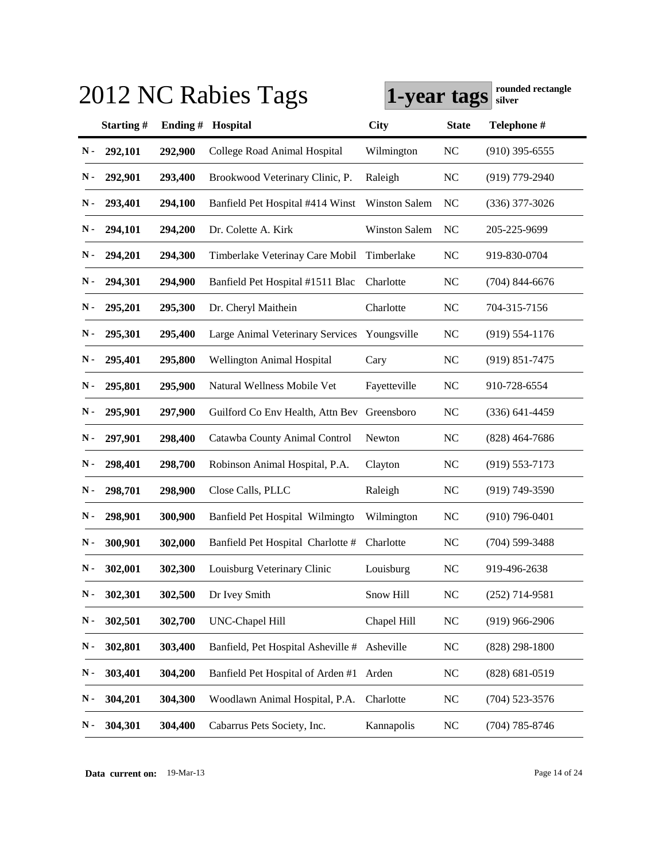| 2012 NC Rabies Tags | rounded rectangle<br>1-year tags<br>silver |         |                                             |                      |              |                    |
|---------------------|--------------------------------------------|---------|---------------------------------------------|----------------------|--------------|--------------------|
|                     | Starting#                                  | Ending# | Hospital                                    | <b>City</b>          | <b>State</b> | Telephone #        |
| N-                  | 292,101                                    | 292,900 | College Road Animal Hospital                | Wilmington           | <b>NC</b>    | $(910)$ 395-6555   |
| N -                 | 292,901                                    | 293,400 | Brookwood Veterinary Clinic, P.             | Raleigh              | <b>NC</b>    | $(919)$ 779-2940   |
| N -                 | 293,401                                    | 294,100 | Banfield Pet Hospital #414 Winst            | <b>Winston Salem</b> | NC           | $(336)$ 377-3026   |
| N-                  | 294,101                                    | 294,200 | Dr. Colette A. Kirk                         | <b>Winston Salem</b> | NC           | 205-225-9699       |
| N-                  | 294,201                                    | 294,300 | Timberlake Veterinay Care Mobil             | Timberlake           | <b>NC</b>    | 919-830-0704       |
| N-                  | 294,301                                    | 294,900 | Banfield Pet Hospital #1511 Blac            | Charlotte            | <b>NC</b>    | $(704)$ 844-6676   |
| N-                  | 295,201                                    | 295,300 | Dr. Cheryl Maithein                         | Charlotte            | <b>NC</b>    | 704-315-7156       |
| N-                  | 295,301                                    | 295,400 | Large Animal Veterinary Services            | Youngsville          | <b>NC</b>    | $(919) 554 - 1176$ |
| N-                  | 295,401                                    | 295,800 | <b>Wellington Animal Hospital</b>           | Cary                 | <b>NC</b>    | $(919) 851 - 7475$ |
| N-                  | 295,801                                    | 295,900 | Natural Wellness Mobile Vet                 | Fayetteville         | <b>NC</b>    | 910-728-6554       |
| N-                  | 295,901                                    | 297,900 | Guilford Co Env Health, Attn Bev Greensboro |                      | <b>NC</b>    | $(336)$ 641-4459   |
| N-                  | 297,901                                    | 298,400 | Catawba County Animal Control               | Newton               | <b>NC</b>    | $(828)$ 464-7686   |
| N -                 | 298,401                                    | 298,700 | Robinson Animal Hospital, P.A.              | Clayton              | <b>NC</b>    | $(919) 553 - 7173$ |
| N-                  | 298,701                                    | 298,900 | Close Calls, PLLC                           | Raleigh              | <b>NC</b>    | $(919)$ 749-3590   |
| Ν.                  | 298,901                                    | 300,900 | Banfield Pet Hospital Wilmingto             | Wilmington           | <b>NC</b>    | $(910)$ 796-0401   |
| Ν.                  | 300,901                                    | 302,000 | Banfield Pet Hospital Charlotte #           | Charlotte            | <b>NC</b>    | $(704)$ 599-3488   |
| $\mathbf N$ -       | 302,001                                    | 302,300 | Louisburg Veterinary Clinic                 | Louisburg            | NC           | 919-496-2638       |
| N-                  | 302,301                                    | 302,500 | Dr Ivey Smith                               | Snow Hill            | <b>NC</b>    | $(252)$ 714-9581   |
| N-                  | 302,501                                    | 302,700 | UNC-Chapel Hill                             | Chapel Hill          | NC           | $(919)$ 966-2906   |
| N-                  | 302,801                                    | 303,400 | Banfield, Pet Hospital Asheville #          | Asheville            | NC           | $(828)$ 298-1800   |
| N-                  | 303,401                                    | 304,200 | Banfield Pet Hospital of Arden #1           | Arden                | <b>NC</b>    | $(828) 681 - 0519$ |
| N-                  | 304,201                                    | 304,300 | Woodlawn Animal Hospital, P.A.              | Charlotte            | <b>NC</b>    | $(704)$ 523-3576   |
| N-                  | 304,301                                    | 304,400 | Cabarrus Pets Society, Inc.                 | Kannapolis           | NC           | $(704)$ 785-8746   |

**Data current on:** 19-Mar-13 Page 14 of 24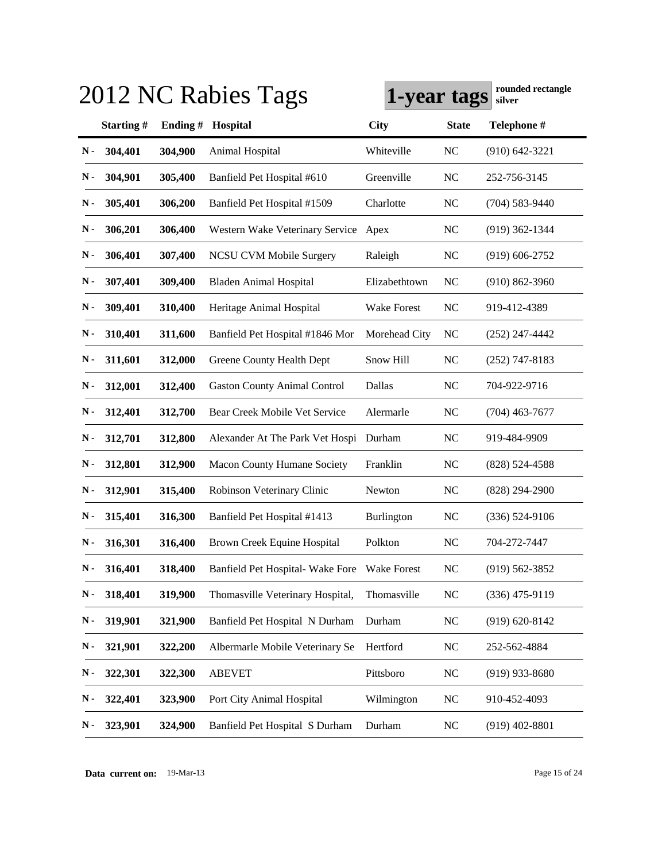| 2012 NC Rabies Tags | rounded rectangle<br>1-year tags<br>silver |         |                                             |                   |              |                    |
|---------------------|--------------------------------------------|---------|---------------------------------------------|-------------------|--------------|--------------------|
|                     | Starting#                                  | Ending# | Hospital                                    | <b>City</b>       | <b>State</b> | Telephone #        |
| N-                  | 304,401                                    | 304,900 | Animal Hospital                             | Whiteville        | <b>NC</b>    | $(910) 642 - 3221$ |
| N -                 | 304,901                                    | 305,400 | Banfield Pet Hospital #610                  | Greenville        | <b>NC</b>    | 252-756-3145       |
| Ν.                  | 305,401                                    | 306,200 | Banfield Pet Hospital #1509                 | Charlotte         | <b>NC</b>    | $(704) 583 - 9440$ |
| $\mathbf N$ -       | 306,201                                    | 306,400 | Western Wake Veterinary Service             | Apex              | <b>NC</b>    | $(919)$ 362-1344   |
| $\mathbf N$ -       | 306,401                                    | 307,400 | NCSU CVM Mobile Surgery                     | Raleigh           | <b>NC</b>    | $(919)$ 606-2752   |
| $\mathbf N$ -       | 307,401                                    | 309,400 | <b>Bladen Animal Hospital</b>               | Elizabethtown     | NC           | $(910) 862 - 3960$ |
| N-                  | 309,401                                    | 310,400 | Heritage Animal Hospital                    | Wake Forest       | <b>NC</b>    | 919-412-4389       |
| $\mathbf N$ -       | 310,401                                    | 311,600 | Banfield Pet Hospital #1846 Mor             | Morehead City     | <b>NC</b>    | $(252)$ 247-4442   |
| $\mathbf N$ -       | 311,601                                    | 312,000 | Greene County Health Dept                   | Snow Hill         | <b>NC</b>    | $(252)$ 747-8183   |
| $\mathbf N$ -       | 312,001                                    | 312,400 | <b>Gaston County Animal Control</b>         | Dallas            | <b>NC</b>    | 704-922-9716       |
| Ν.                  | 312,401                                    | 312,700 | Bear Creek Mobile Vet Service               | Alermarle         | <b>NC</b>    | $(704)$ 463-7677   |
| N-                  | 312,701                                    | 312,800 | Alexander At The Park Vet Hospi Durham      |                   | <b>NC</b>    | 919-484-9909       |
| N-                  | 312,801                                    | 312,900 | Macon County Humane Society                 | Franklin          | <b>NC</b>    | $(828) 524 - 4588$ |
| $\mathbf N$ -       | 312,901                                    | 315,400 | Robinson Veterinary Clinic                  | Newton            | <b>NC</b>    | $(828)$ 294-2900   |
| $\mathbf N$ -       | 315,401                                    | 316,300 | Banfield Pet Hospital #1413                 | <b>Burlington</b> | <b>NC</b>    | $(336) 524-9106$   |
| Ν.                  | 316,301                                    | 316,400 | Brown Creek Equine Hospital                 | Polkton           | <b>NC</b>    | 704-272-7447       |
| $\mathbf N$ -       | 316,401                                    | 318,400 | Banfield Pet Hospital-Wake Fore Wake Forest |                   | NC           | (919) 562-3852     |
| $\mathbf N$ -       | 318,401                                    | 319,900 | Thomasville Veterinary Hospital,            | Thomasville       | NC           | $(336)$ 475-9119   |
| $\mathbf N$ -       | 319,901                                    | 321,900 | Banfield Pet Hospital N Durham              | Durham            | <b>NC</b>    | $(919) 620 - 8142$ |
| ${\bf N}$ -         | 321,901                                    | 322,200 | Albermarle Mobile Veterinary Se             | Hertford          | <b>NC</b>    | 252-562-4884       |
| N-                  | 322,301                                    | 322,300 | <b>ABEVET</b>                               | Pittsboro         | <b>NC</b>    | $(919)$ 933-8680   |
| N-                  | 322,401                                    | 323,900 | Port City Animal Hospital                   | Wilmington        | <b>NC</b>    | 910-452-4093       |
| N-                  | 323,901                                    | 324,900 | Banfield Pet Hospital S Durham              | Durham            | NC           | $(919)$ 402-8801   |

**Data current on:** 19-Mar-13 Page 15 of 24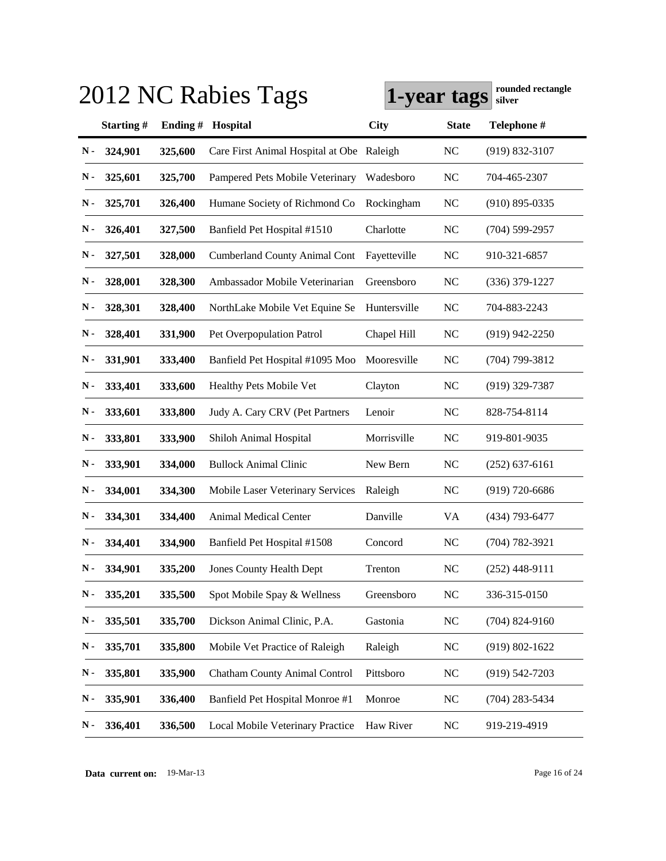|               | 2012 NC Rabies Tags | rounded rectangle<br>1-year tags<br>silver |                                           |              |              |                    |
|---------------|---------------------|--------------------------------------------|-------------------------------------------|--------------|--------------|--------------------|
|               | Starting#           | Ending#                                    | Hospital                                  | <b>City</b>  | <b>State</b> | Telephone #        |
| N-            | 324,901             | 325,600                                    | Care First Animal Hospital at Obe Raleigh |              | <b>NC</b>    | $(919) 832 - 3107$ |
| N -           | 325,601             | 325,700                                    | Pampered Pets Mobile Veterinary           | Wadesboro    | NC           | 704-465-2307       |
| N-            | 325,701             | 326,400                                    | Humane Society of Richmond Co             | Rockingham   | <b>NC</b>    | $(910)$ 895-0335   |
| N-            | 326,401             | 327,500                                    | Banfield Pet Hospital #1510               | Charlotte    | <b>NC</b>    | $(704) 599 - 2957$ |
| N-            | 327,501             | 328,000                                    | <b>Cumberland County Animal Cont</b>      | Fayetteville | <b>NC</b>    | 910-321-6857       |
| N-            | 328,001             | 328,300                                    | Ambassador Mobile Veterinarian            | Greensboro   | NC           | $(336)$ 379-1227   |
| N-            | 328,301             | 328,400                                    | NorthLake Mobile Vet Equine Se            | Huntersville | NC           | 704-883-2243       |
| N-            | 328,401             | 331,900                                    | Pet Overpopulation Patrol                 | Chapel Hill  | <b>NC</b>    | $(919)$ 942-2250   |
| $\mathbf N$ - | 331,901             | 333,400                                    | Banfield Pet Hospital #1095 Moo           | Mooresville  | NC           | $(704)$ 799-3812   |
| N-            | 333,401             | 333,600                                    | Healthy Pets Mobile Vet                   | Clayton      | <b>NC</b>    | $(919)$ 329-7387   |
| N-            | 333,601             | 333,800                                    | Judy A. Cary CRV (Pet Partners            | Lenoir       | NC           | 828-754-8114       |
| N-            | 333,801             | 333,900                                    | Shiloh Animal Hospital                    | Morrisville  | NC           | 919-801-9035       |
| $\mathbf N$ - | 333,901             | 334,000                                    | <b>Bullock Animal Clinic</b>              | New Bern     | <b>NC</b>    | $(252)$ 637-6161   |
| N -           | 334,001             | 334,300                                    | Mobile Laser Veterinary Services          | Raleigh      | <b>NC</b>    | $(919)$ 720-6686   |
| N -           | 334,301             | 334,400                                    | <b>Animal Medical Center</b>              | Danville     | VA           | (434) 793-6477     |
| Ν.            | 334,401             | 334,900                                    | Banfield Pet Hospital #1508               | Concord      | <b>NC</b>    | $(704) 782 - 3921$ |
| $\mathbf N$ - | 334,901             | 335,200                                    | <b>Jones County Health Dept</b>           | Trenton      | NC           | $(252)$ 448-9111   |
| N-            | 335,201             | 335,500                                    | Spot Mobile Spay & Wellness               | Greensboro   | <b>NC</b>    | 336-315-0150       |
| $\mathbf N$ - | 335,501             | 335,700                                    | Dickson Animal Clinic, P.A.               | Gastonia     | <b>NC</b>    | $(704)$ 824-9160   |
| $\mathbf N$ - | 335,701             | 335,800                                    | Mobile Vet Practice of Raleigh            | Raleigh      | <b>NC</b>    | $(919) 802 - 1622$ |
| $\mathbf N$ - | 335,801             | 335,900                                    | Chatham County Animal Control             | Pittsboro    | <b>NC</b>    | $(919) 542 - 7203$ |
| $\mathbf N$ - | 335,901             | 336,400                                    | Banfield Pet Hospital Monroe #1           | Monroe       | <b>NC</b>    | $(704)$ 283-5434   |
| N-            | 336,401             | 336,500                                    | Local Mobile Veterinary Practice          | Haw River    | <b>NC</b>    | 919-219-4919       |

**Data current on:** 19-Mar-13 Page 16 of 24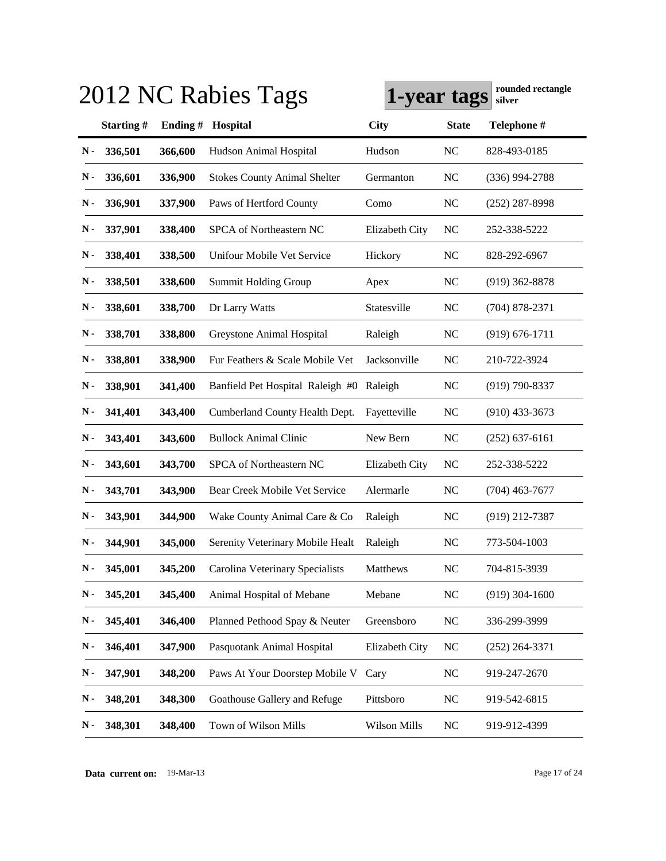| 2012 NC Rabies Tags<br>1-year tags |  |         |                                     |                |              | rounded rectangle<br>silver |  |
|------------------------------------|--|---------|-------------------------------------|----------------|--------------|-----------------------------|--|
| Starting#                          |  | Ending# | Hospital                            | <b>City</b>    | <b>State</b> | Telephone #                 |  |
| 336,501<br>N-                      |  | 366,600 | Hudson Animal Hospital              | Hudson         | <b>NC</b>    | 828-493-0185                |  |
| 336,601<br>N-                      |  | 336,900 | <b>Stokes County Animal Shelter</b> | Germanton      | <b>NC</b>    | $(336)$ 994-2788            |  |
| 336,901<br>$\mathbf N$ -           |  | 337,900 | Paws of Hertford County             | Como           | <b>NC</b>    | $(252)$ 287-8998            |  |
| $\mathbf N$ -<br>337,901           |  | 338,400 | SPCA of Northeastern NC             | Elizabeth City | <b>NC</b>    | 252-338-5222                |  |
| $\mathbf N$ -<br>338,401           |  | 338,500 | Unifour Mobile Vet Service          | Hickory        | <b>NC</b>    | 828-292-6967                |  |
| N-<br>338,501                      |  | 338,600 | <b>Summit Holding Group</b>         | Apex           | <b>NC</b>    | $(919)$ 362-8878            |  |
| N-<br>338,601                      |  | 338,700 | Dr Larry Watts                      | Statesville    | <b>NC</b>    | $(704) 878 - 2371$          |  |
| N-<br>338,701                      |  | 338,800 | Greystone Animal Hospital           | Raleigh        | <b>NC</b>    | $(919) 676 - 1711$          |  |
| $\mathbf N$ -<br>338,801           |  | 338,900 | Fur Feathers & Scale Mobile Vet     | Jacksonville   | <b>NC</b>    | 210-722-3924                |  |
| $\mathbf N$ -<br>338,901           |  | 341,400 | Banfield Pet Hospital Raleigh #0    | Raleigh        | <b>NC</b>    | $(919) 790 - 8337$          |  |
| Ν.<br>341,401                      |  | 343,400 | Cumberland County Health Dept.      | Fayetteville   | <b>NC</b>    | $(910)$ 433-3673            |  |
| N -<br>343,401                     |  | 343,600 | <b>Bullock Animal Clinic</b>        | New Bern       | <b>NC</b>    | $(252)$ 637-6161            |  |
| N-<br>343,601                      |  | 343,700 | SPCA of Northeastern NC             | Elizabeth City | <b>NC</b>    | 252-338-5222                |  |
| N-<br>343,701                      |  | 343,900 | Bear Creek Mobile Vet Service       | Alermarle      | <b>NC</b>    | $(704)$ 463-7677            |  |
| Ν.<br>343,901                      |  | 344,900 | Wake County Animal Care & Co        | Raleigh        | <b>NC</b>    | $(919)$ 212-7387            |  |
| Ν.<br>344,901                      |  | 345,000 | Serenity Veterinary Mobile Healt    | Raleigh        | <b>NC</b>    | 773-504-1003                |  |
| $\mathbf N$ -<br>345,001           |  | 345,200 | Carolina Veterinary Specialists     | Matthews       | NC           | 704-815-3939                |  |
| 345,201<br>N-                      |  | 345,400 | Animal Hospital of Mebane           | Mebane         | $\rm NC$     | $(919)$ 304-1600            |  |
| 345,401<br>N-                      |  | 346,400 | Planned Pethood Spay & Neuter       | Greensboro     | NC           | 336-299-3999                |  |
| 346,401<br>N-                      |  | 347,900 | Pasquotank Animal Hospital          | Elizabeth City | <b>NC</b>    | $(252)$ 264-3371            |  |
| 347,901<br>N-                      |  | 348,200 | Paws At Your Doorstep Mobile V      | Cary           | $\rm NC$     | 919-247-2670                |  |
| 348,201<br>N-                      |  | 348,300 | Goathouse Gallery and Refuge        | Pittsboro      | <b>NC</b>    | 919-542-6815                |  |
| 348,301<br>N-                      |  | 348,400 | Town of Wilson Mills                | Wilson Mills   | NC           | 919-912-4399                |  |

**Data current on:** 19-Mar-13 Page 17 of 24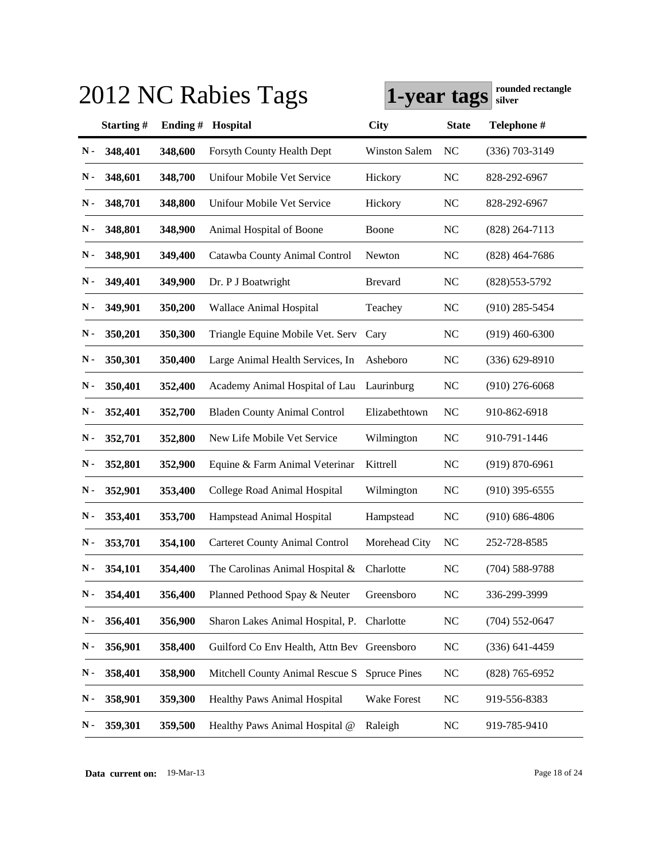|               | 2012 NC Rabies Tags<br>1-year tags |         |                                             |                      |              |                    |  |
|---------------|------------------------------------|---------|---------------------------------------------|----------------------|--------------|--------------------|--|
|               | Starting#                          | Ending# | Hospital                                    | <b>City</b>          | <b>State</b> | Telephone #        |  |
| N-            | 348,401                            | 348,600 | Forsyth County Health Dept                  | <b>Winston Salem</b> | NC           | $(336)$ 703-3149   |  |
| N -           | 348,601                            | 348,700 | Unifour Mobile Vet Service                  | Hickory              | <b>NC</b>    | 828-292-6967       |  |
| N -           | 348,701                            | 348,800 | Unifour Mobile Vet Service                  | Hickory              | <b>NC</b>    | 828-292-6967       |  |
| N-            | 348,801                            | 348,900 | Animal Hospital of Boone                    | Boone                | <b>NC</b>    | $(828)$ 264-7113   |  |
| N-            | 348,901                            | 349,400 | Catawba County Animal Control               | Newton               | <b>NC</b>    | $(828)$ 464-7686   |  |
| N-            | 349,401                            | 349,900 | Dr. P J Boatwright                          | <b>Brevard</b>       | <b>NC</b>    | $(828)$ 553-5792   |  |
| N-            | 349,901                            | 350,200 | Wallace Animal Hospital                     | Teachey              | <b>NC</b>    | $(910)$ 285-5454   |  |
| N-            | 350,201                            | 350,300 | Triangle Equine Mobile Vet. Serv            | Cary                 | <b>NC</b>    | $(919)$ 460-6300   |  |
| N-            | 350,301                            | 350,400 | Large Animal Health Services, In            | Asheboro             | <b>NC</b>    | $(336) 629 - 8910$ |  |
| Ν.            | 350,401                            | 352,400 | Academy Animal Hospital of Lau              | Laurinburg           | <b>NC</b>    | $(910)$ 276-6068   |  |
| Ν.            | 352,401                            | 352,700 | <b>Bladen County Animal Control</b>         | Elizabethtown        | NC           | 910-862-6918       |  |
| N-            | 352,701                            | 352,800 | New Life Mobile Vet Service                 | Wilmington           | <b>NC</b>    | 910-791-1446       |  |
| N-            | 352,801                            | 352,900 | Equine & Farm Animal Veterinar              | Kittrell             | <b>NC</b>    | $(919) 870 - 6961$ |  |
| N -           | 352,901                            | 353,400 | College Road Animal Hospital                | Wilmington           | <b>NC</b>    | $(910)$ 395-6555   |  |
| Ν.            | 353,401                            | 353,700 | Hampstead Animal Hospital                   | Hampstead            | <b>NC</b>    | $(910) 686 - 4806$ |  |
| Ν.            | 353,701                            | 354,100 | <b>Carteret County Animal Control</b>       | Morehead City        | <b>NC</b>    | 252-728-8585       |  |
| $\mathbf N$ - | 354,101                            | 354,400 | The Carolinas Animal Hospital & Charlotte   |                      | NC           | $(704)$ 588-9788   |  |
| N-            | 354,401                            | 356,400 | Planned Pethood Spay & Neuter               | Greensboro           | NC           | 336-299-3999       |  |
| ${\bf N}$ -   | 356,401                            | 356,900 | Sharon Lakes Animal Hospital, P.            | Charlotte            | <b>NC</b>    | $(704)$ 552-0647   |  |
| N-            | 356,901                            | 358,400 | Guilford Co Env Health, Attn Bev Greensboro |                      | NC           | $(336) 641 - 4459$ |  |
| N-            | 358,401                            | 358,900 | Mitchell County Animal Rescue S             | <b>Spruce Pines</b>  | NC           | $(828)$ 765-6952   |  |
| N-            | 358,901                            | 359,300 | Healthy Paws Animal Hospital                | Wake Forest          | <b>NC</b>    | 919-556-8383       |  |
| N-            | 359,301                            | 359,500 | Healthy Paws Animal Hospital @              | Raleigh              | NC           | 919-785-9410       |  |

**Data current on:** 19-Mar-13 Page 18 of 24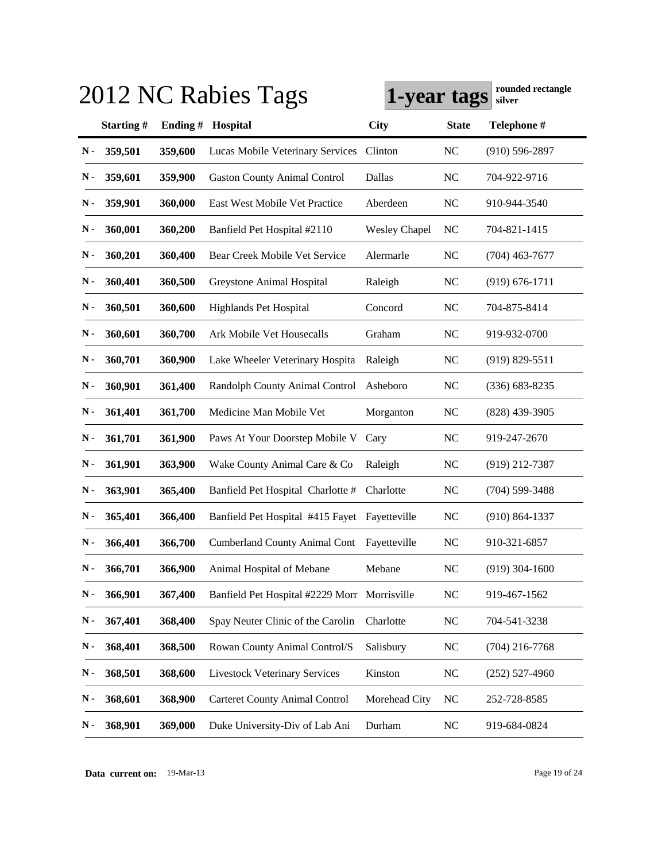| 2012 NC Rabies Tags      | rounded rectangle<br>1-year tags<br>silver |                                              |                      |              |                    |
|--------------------------|--------------------------------------------|----------------------------------------------|----------------------|--------------|--------------------|
| Starting#                | Ending#                                    | Hospital                                     | <b>City</b>          | <b>State</b> | Telephone #        |
| 359,501<br>N-            | 359,600                                    | Lucas Mobile Veterinary Services             | Clinton              | <b>NC</b>    | $(910) 596 - 2897$ |
| 359,601<br>N -           | 359,900                                    | <b>Gaston County Animal Control</b>          | Dallas               | <b>NC</b>    | 704-922-9716       |
| Ν.<br>359,901            | 360,000                                    | East West Mobile Vet Practice                | Aberdeen             | <b>NC</b>    | 910-944-3540       |
| $\mathbf N$ -<br>360,001 | 360,200                                    | Banfield Pet Hospital #2110                  | <b>Wesley Chapel</b> | NC           | 704-821-1415       |
| N-<br>360,201            | 360,400                                    | Bear Creek Mobile Vet Service                | Alermarle            | <b>NC</b>    | $(704)$ 463-7677   |
| $\mathbf N$ -<br>360,401 | 360,500                                    | Greystone Animal Hospital                    | Raleigh              | <b>NC</b>    | $(919) 676 - 1711$ |
| $\mathbf N$ -<br>360,501 | 360,600                                    | <b>Highlands Pet Hospital</b>                | Concord              | <b>NC</b>    | 704-875-8414       |
| $\mathbf N$ -<br>360,601 | 360,700                                    | Ark Mobile Vet Housecalls                    | Graham               | <b>NC</b>    | 919-932-0700       |
| $\mathbf N$ -<br>360,701 | 360,900                                    | Lake Wheeler Veterinary Hospita              | Raleigh              | <b>NC</b>    | $(919) 829 - 5511$ |
| $\mathbf N$ -<br>360,901 | 361,400                                    | Randolph County Animal Control               | Asheboro             | <b>NC</b>    | $(336) 683 - 8235$ |
| $\mathbf N$ -<br>361,401 | 361,700                                    | Medicine Man Mobile Vet                      | Morganton            | <b>NC</b>    | $(828)$ 439-3905   |
| $\mathbf N$ -<br>361,701 | 361,900                                    | Paws At Your Doorstep Mobile V               | Cary                 | <b>NC</b>    | 919-247-2670       |
| $\mathbf N$ -<br>361,901 | 363,900                                    | Wake County Animal Care & Co                 | Raleigh              | <b>NC</b>    | $(919)$ 212-7387   |
| $\mathbf N$ -<br>363,901 | 365,400                                    | Banfield Pet Hospital Charlotte #            | Charlotte            | <b>NC</b>    | $(704)$ 599-3488   |
| ${\bf N}$ -<br>365,401   | 366,400                                    | Banfield Pet Hospital #415 Fayet             | Fayetteville         | <b>NC</b>    | $(910) 864 - 1337$ |
| Ν.<br>366,401            | 366,700                                    | <b>Cumberland County Animal Cont</b>         | Fayetteville         | <b>NC</b>    | 910-321-6857       |
| $\mathbf N$ -<br>366,701 | 366,900                                    | Animal Hospital of Mebane                    | Mebane               | NC           | $(919)$ 304-1600   |
| 366,901<br>N-            | 367,400                                    | Banfield Pet Hospital #2229 Morr Morrisville |                      | <b>NC</b>    | 919-467-1562       |
| 367,401<br>$\mathbf N$ - | 368,400                                    | Spay Neuter Clinic of the Carolin            | Charlotte            | <b>NC</b>    | 704-541-3238       |
| N-<br>368,401            | 368,500                                    | Rowan County Animal Control/S                | Salisbury            | <b>NC</b>    | $(704)$ 216-7768   |
| 368,501<br>N-            | 368,600                                    | <b>Livestock Veterinary Services</b>         | Kinston              | <b>NC</b>    | $(252)$ 527-4960   |
| 368,601<br>$\mathbf N$ - | 368,900                                    | <b>Carteret County Animal Control</b>        | Morehead City        | <b>NC</b>    | 252-728-8585       |
| 368,901<br>${\bf N}$ -   | 369,000                                    | Duke University-Div of Lab Ani               | Durham               | NC           | 919-684-0824       |

**Data current on:** 19-Mar-13 Page 19 of 24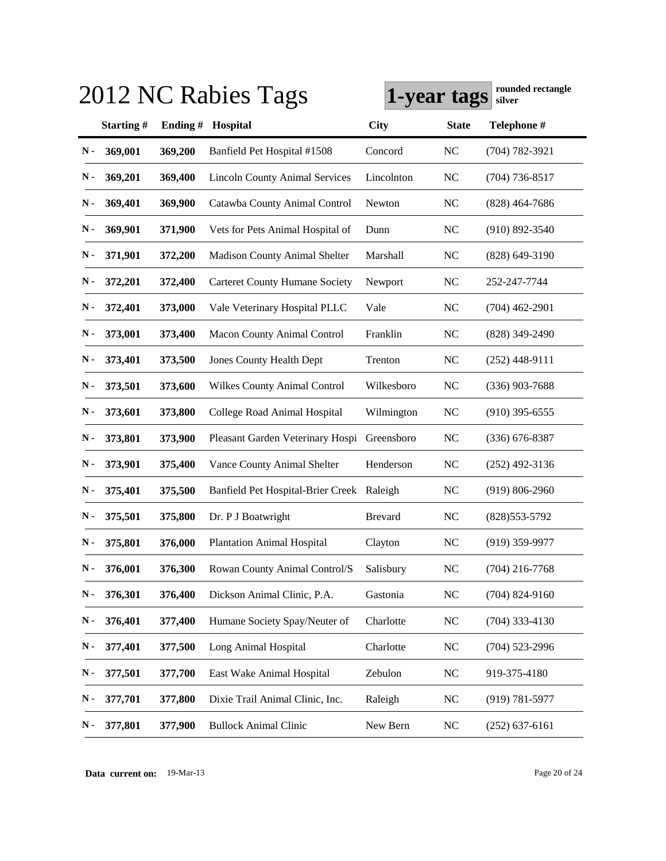|               |           |         | 2012 NC Rabies Tags                       | rounded rectangle<br>1-year tags<br>silver |              |                    |
|---------------|-----------|---------|-------------------------------------------|--------------------------------------------|--------------|--------------------|
|               | Starting# | Ending# | Hospital                                  | <b>City</b>                                | <b>State</b> | Telephone #        |
| N-            | 369,001   | 369,200 | Banfield Pet Hospital #1508               | Concord                                    | <b>NC</b>    | $(704) 782 - 3921$ |
| N -           | 369,201   | 369,400 | <b>Lincoln County Animal Services</b>     | Lincolnton                                 | <b>NC</b>    | $(704)$ 736-8517   |
| Ν.            | 369,401   | 369,900 | Catawba County Animal Control             | Newton                                     | <b>NC</b>    | $(828)$ 464-7686   |
| $\mathbf N$ - | 369,901   | 371,900 | Vets for Pets Animal Hospital of          | Dunn                                       | <b>NC</b>    | $(910) 892 - 3540$ |
| $\mathbf N$ - | 371,901   | 372,200 | <b>Madison County Animal Shelter</b>      | Marshall                                   | <b>NC</b>    | $(828)$ 649-3190   |
| N-            | 372,201   | 372,400 | <b>Carteret County Humane Society</b>     | Newport                                    | <b>NC</b>    | 252-247-7744       |
| N-            | 372,401   | 373,000 | Vale Veterinary Hospital PLLC             | Vale                                       | <b>NC</b>    | $(704)$ 462-2901   |
| N-            | 373,001   | 373,400 | Macon County Animal Control               | Franklin                                   | <b>NC</b>    | $(828)$ 349-2490   |
| $\mathbf N$ - | 373,401   | 373,500 | <b>Jones County Health Dept</b>           | Trenton                                    | <b>NC</b>    | $(252)$ 448-9111   |
| $\mathbf N$ - | 373,501   | 373,600 | <b>Wilkes County Animal Control</b>       | Wilkesboro                                 | <b>NC</b>    | $(336)$ 903-7688   |
| Ν.            | 373,601   | 373,800 | College Road Animal Hospital              | Wilmington                                 | <b>NC</b>    | $(910)$ 395-6555   |
| N-            | 373,801   | 373,900 | Pleasant Garden Veterinary Hospi          | Greensboro                                 | <b>NC</b>    | $(336)$ 676-8387   |
| N-            | 373,901   | 375,400 | Vance County Animal Shelter               | Henderson                                  | <b>NC</b>    | $(252)$ 492-3136   |
| N -           | 375,401   | 375,500 | Banfield Pet Hospital-Brier Creek Raleigh |                                            | <b>NC</b>    | $(919) 806 - 2960$ |
| Ν.            | 375,501   | 375,800 | Dr. P J Boatwright                        | <b>Brevard</b>                             | <b>NC</b>    | $(828)553-5792$    |
| Ν.            | 375,801   | 376,000 | <b>Plantation Animal Hospital</b>         | Clayton                                    | <b>NC</b>    | $(919)$ 359-9977   |
| $\mathbf N$ - | 376,001   | 376,300 | Rowan County Animal Control/S             | Salisbury                                  | NC           | $(704)$ 216-7768   |
| N-            | 376,301   | 376,400 | Dickson Animal Clinic, P.A.               | Gastonia                                   | NC           | $(704)$ 824-9160   |
| ${\bf N}$ -   | 376,401   | 377,400 | Humane Society Spay/Neuter of             | Charlotte                                  | NC           | $(704)$ 333-4130   |
| N-            | 377,401   | 377,500 | Long Animal Hospital                      | Charlotte                                  | <b>NC</b>    | $(704)$ 523-2996   |
| N-            | 377,501   | 377,700 | East Wake Animal Hospital                 | Zebulon                                    | <b>NC</b>    | 919-375-4180       |
| N-            | 377,701   | 377,800 | Dixie Trail Animal Clinic, Inc.           | Raleigh                                    | <b>NC</b>    | $(919) 781 - 5977$ |
| N-            | 377,801   | 377,900 | <b>Bullock Animal Clinic</b>              | New Bern                                   | NC           | $(252)$ 637-6161   |

**Data current on:** 19-Mar-13 Page 20 of 24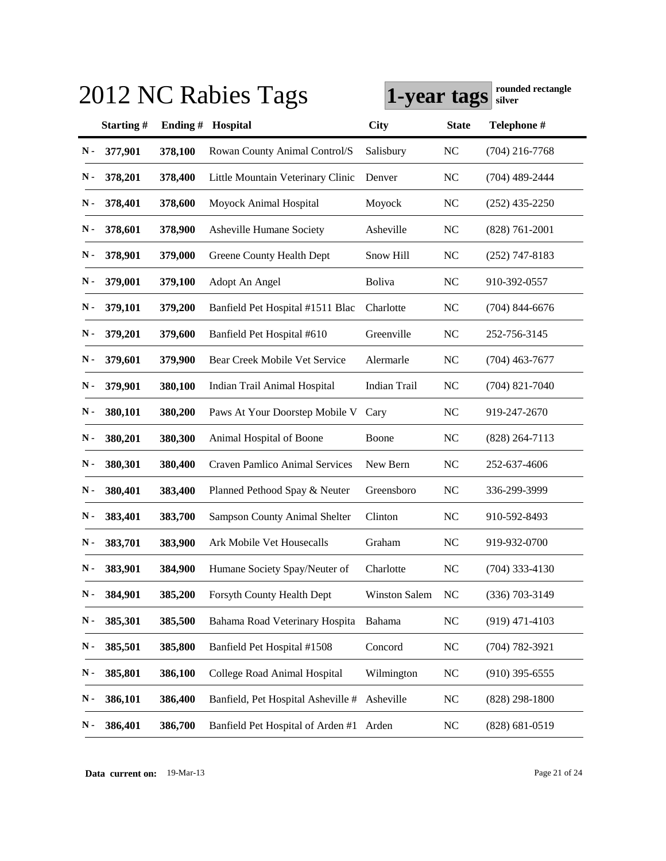|               | 2012 NC Rabies Tags | 1-year tags | rounded rectangle<br>silver             |                      |              |                    |
|---------------|---------------------|-------------|-----------------------------------------|----------------------|--------------|--------------------|
|               | Starting#           | Ending#     | Hospital                                | <b>City</b>          | <b>State</b> | Telephone #        |
| N-            | 377,901             | 378,100     | Rowan County Animal Control/S           | Salisbury            | <b>NC</b>    | $(704)$ 216-7768   |
| N-            | 378,201             | 378,400     | Little Mountain Veterinary Clinic       | Denver               | <b>NC</b>    | $(704)$ 489-2444   |
| N-            | 378,401             | 378,600     | Moyock Animal Hospital                  | Moyock               | <b>NC</b>    | $(252)$ 435-2250   |
| N-            | 378,601             | 378,900     | Asheville Humane Society                | Asheville            | <b>NC</b>    | $(828) 761 - 2001$ |
| $\mathbf N$ - | 378,901             | 379,000     | Greene County Health Dept               | Snow Hill            | <b>NC</b>    | $(252)$ 747-8183   |
| Ν.            | 379,001             | 379,100     | Adopt An Angel                          | <b>Boliva</b>        | <b>NC</b>    | 910-392-0557       |
| $\mathbf N$ - | 379,101             | 379,200     | Banfield Pet Hospital #1511 Blac        | Charlotte            | <b>NC</b>    | $(704)$ 844-6676   |
| $\mathbf N$ - | 379,201             | 379,600     | Banfield Pet Hospital #610              | Greenville           | NC           | 252-756-3145       |
| Ν.            | 379,601             | 379,900     | Bear Creek Mobile Vet Service           | Alermarle            | NC           | $(704)$ 463-7677   |
| Ν.            | 379,901             | 380,100     | Indian Trail Animal Hospital            | Indian Trail         | <b>NC</b>    | $(704)$ 821-7040   |
| $\mathbf N$ - | 380,101             | 380,200     | Paws At Your Doorstep Mobile V          | Cary                 | <b>NC</b>    | 919-247-2670       |
| Ν.            | 380,201             | 380,300     | Animal Hospital of Boone                | Boone                | <b>NC</b>    | $(828)$ 264-7113   |
| $\mathbf N$ - | 380,301             | 380,400     | <b>Craven Pamlico Animal Services</b>   | New Bern             | <b>NC</b>    | 252-637-4606       |
| Ν.            | 380,401             | 383,400     | Planned Pethood Spay & Neuter           | Greensboro           | <b>NC</b>    | 336-299-3999       |
| Ν.            | 383,401             | 383,700     | <b>Sampson County Animal Shelter</b>    | Clinton              | <b>NC</b>    | 910-592-8493       |
| Ν.            | 383,701             | 383,900     | Ark Mobile Vet Housecalls               | Graham               | NC           | 919-932-0700       |
| $\mathbf N$ - | 383,901             | 384,900     | Humane Society Spay/Neuter of           | Charlotte            | <b>NC</b>    | $(704)$ 333-4130   |
| N-            | 384,901             | 385,200     | Forsyth County Health Dept              | <b>Winston Salem</b> | NC           | $(336)$ 703-3149   |
| ${\bf N}$ -   | 385,301             | 385,500     | Bahama Road Veterinary Hospita          | Bahama               | <b>NC</b>    | $(919)$ 471-4103   |
| ${\bf N}$ -   | 385,501             | 385,800     | Banfield Pet Hospital #1508             | Concord              | <b>NC</b>    | $(704) 782 - 3921$ |
| N-            | 385,801             | 386,100     | College Road Animal Hospital            | Wilmington           | <b>NC</b>    | $(910)$ 395-6555   |
| $\mathbf N$ - | 386,101             | 386,400     | Banfield, Pet Hospital Asheville #      | Asheville            | <b>NC</b>    | $(828)$ 298-1800   |
| N-            | 386,401             | 386,700     | Banfield Pet Hospital of Arden #1 Arden |                      | <b>NC</b>    | $(828) 681 - 0519$ |

**Data current on:** 19-Mar-13 Page 21 of 24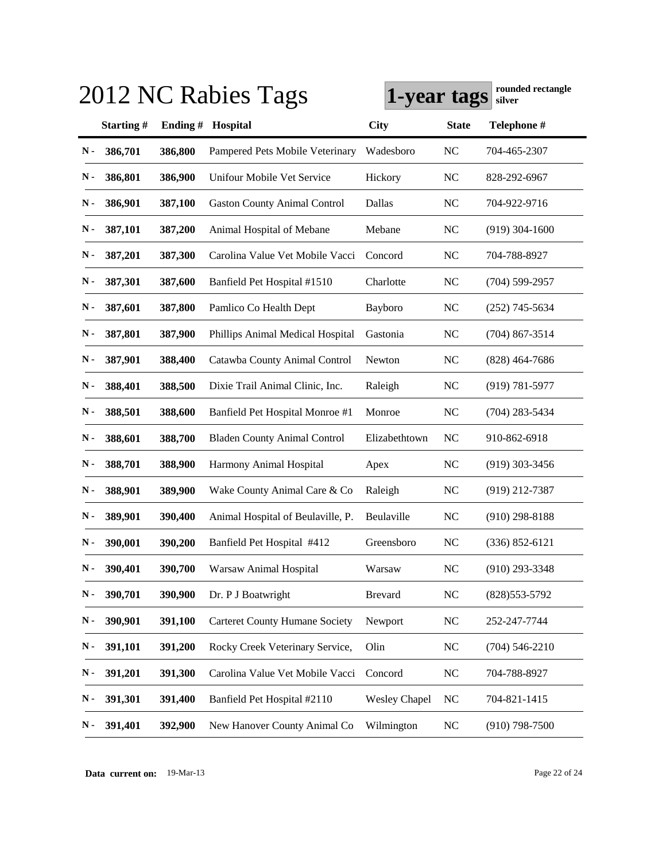|                          |         | 2012 NC Rabies Tags                   | rounded rectangle<br>1-year tags<br>silver |              |                    |
|--------------------------|---------|---------------------------------------|--------------------------------------------|--------------|--------------------|
| Starting#                | Ending# | Hospital                              | <b>City</b>                                | <b>State</b> | Telephone #        |
| 386,701<br>N-            | 386,800 | Pampered Pets Mobile Veterinary       | Wadesboro                                  | <b>NC</b>    | 704-465-2307       |
| 386,801<br>N -           | 386,900 | Unifour Mobile Vet Service            | Hickory                                    | <b>NC</b>    | 828-292-6967       |
| $\mathbf N$ -<br>386,901 | 387,100 | <b>Gaston County Animal Control</b>   | Dallas                                     | <b>NC</b>    | 704-922-9716       |
| $\mathbf N$ -<br>387,101 | 387,200 | Animal Hospital of Mebane             | Mebane                                     | NC           | $(919)$ 304-1600   |
| $\mathbf N$ -<br>387,201 | 387,300 | Carolina Value Vet Mobile Vacci       | Concord                                    | NC           | 704-788-8927       |
| $\mathbf N$ -<br>387,301 | 387,600 | Banfield Pet Hospital #1510           | Charlotte                                  | NC           | $(704) 599 - 2957$ |
| $\mathbf N$ -<br>387,601 | 387,800 | Pamlico Co Health Dept                | Bayboro                                    | NC           | $(252)$ 745-5634   |
| $\mathbf N$ -<br>387,801 | 387,900 | Phillips Animal Medical Hospital      | Gastonia                                   | NC           | $(704)$ 867-3514   |
| $\mathbf N$ -<br>387,901 | 388,400 | Catawba County Animal Control         | Newton                                     | <b>NC</b>    | $(828)$ 464-7686   |
| $\mathbf N$ -<br>388,401 | 388,500 | Dixie Trail Animal Clinic, Inc.       | Raleigh                                    | NC           | $(919) 781 - 5977$ |
| $\mathbf N$ -<br>388,501 | 388,600 | Banfield Pet Hospital Monroe #1       | Monroe                                     | NC           | $(704)$ 283-5434   |
| $\mathbf N$ -<br>388,601 | 388,700 | <b>Bladen County Animal Control</b>   | Elizabethtown                              | NC           | 910-862-6918       |
| $\mathbf N$ -<br>388,701 | 388,900 | Harmony Animal Hospital               | Apex                                       | <b>NC</b>    | $(919)$ 303-3456   |
| $\mathbf N$ -<br>388,901 | 389,900 | Wake County Animal Care & Co          | Raleigh                                    | <b>NC</b>    | (919) 212-7387     |
| Ν.<br>389,901            | 390,400 | Animal Hospital of Beulaville, P.     | Beulaville                                 | NC           | $(910)$ 298-8188   |
| Ν.<br>390,001            | 390,200 | Banfield Pet Hospital #412            | Greensboro                                 | <b>NC</b>    | $(336) 852 - 6121$ |
| $N -$<br>390,401         | 390,700 | Warsaw Animal Hospital                | Warsaw                                     | <b>NC</b>    | (910) 293-3348     |
| 390,701<br>N-            | 390,900 | Dr. P J Boatwright                    | <b>Brevard</b>                             | <b>NC</b>    | (828) 553-5792     |
| 390,901<br>N-            | 391,100 | <b>Carteret County Humane Society</b> | Newport                                    | <b>NC</b>    | 252-247-7744       |
| N-<br>391,101            | 391,200 | Rocky Creek Veterinary Service,       | Olin                                       | <b>NC</b>    | $(704)$ 546-2210   |
| 391,201<br>$\mathbf N$ - | 391,300 | Carolina Value Vet Mobile Vacci       | Concord                                    | <b>NC</b>    | 704-788-8927       |
| 391,301<br>$\mathbf N$ - | 391,400 | Banfield Pet Hospital #2110           | <b>Wesley Chapel</b>                       | <b>NC</b>    | 704-821-1415       |
| 391,401<br>N-            | 392,900 | New Hanover County Animal Co          | Wilmington                                 | <b>NC</b>    | $(910)$ 798-7500   |

**Data current on:** 19-Mar-13 Page 22 of 24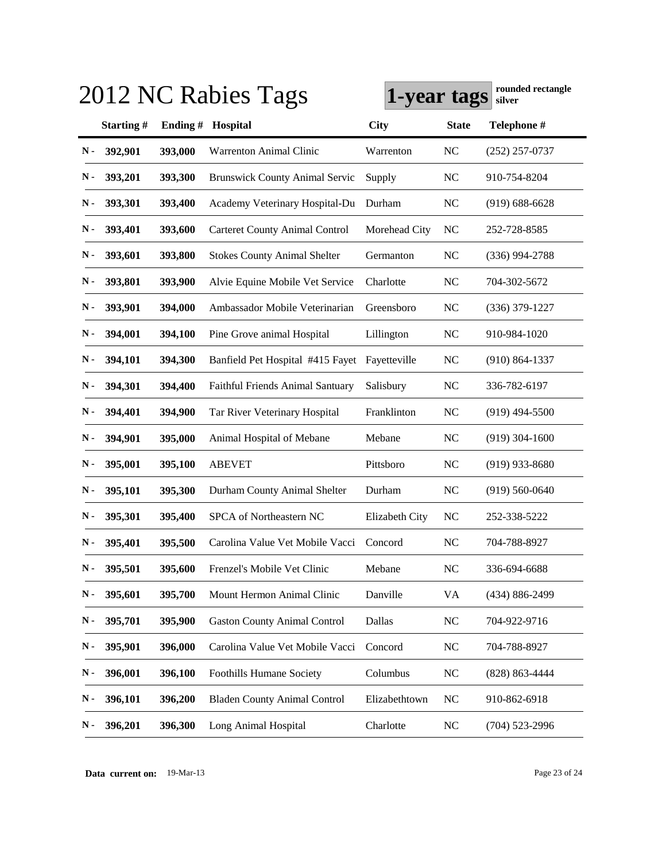|               | 2012 NC Rabies Tags<br>1-year tags |         |                                       |                |              |                    |  |
|---------------|------------------------------------|---------|---------------------------------------|----------------|--------------|--------------------|--|
|               | Starting#                          | Ending# | Hospital                              | <b>City</b>    | <b>State</b> | Telephone #        |  |
| N-            | 392,901                            | 393,000 | <b>Warrenton Animal Clinic</b>        | Warrenton      | <b>NC</b>    | $(252)$ 257-0737   |  |
| N -           | 393,201                            | 393,300 | <b>Brunswick County Animal Servic</b> | Supply         | <b>NC</b>    | 910-754-8204       |  |
| N-            | 393,301                            | 393,400 | Academy Veterinary Hospital-Du        | Durham         | NC           | $(919) 688 - 6628$ |  |
| N-            | 393,401                            | 393,600 | <b>Carteret County Animal Control</b> | Morehead City  | NC           | 252-728-8585       |  |
| N-            | 393,601                            | 393,800 | <b>Stokes County Animal Shelter</b>   | Germanton      | <b>NC</b>    | $(336)$ 994-2788   |  |
| N-            | 393,801                            | 393,900 | Alvie Equine Mobile Vet Service       | Charlotte      | NC           | 704-302-5672       |  |
| N-            | 393,901                            | 394,000 | Ambassador Mobile Veterinarian        | Greensboro     | NC           | $(336)$ 379-1227   |  |
| N -           | 394,001                            | 394,100 | Pine Grove animal Hospital            | Lillington     | <b>NC</b>    | 910-984-1020       |  |
| Ν.            | 394,101                            | 394,300 | Banfield Pet Hospital #415 Fayet      | Fayetteville   | NC           | $(910) 864 - 1337$ |  |
| Ν.            | 394,301                            | 394,400 | Faithful Friends Animal Santuary      | Salisbury      | NC           | 336-782-6197       |  |
| N -           | 394,401                            | 394,900 | Tar River Veterinary Hospital         | Franklinton    | NC           | $(919)$ 494-5500   |  |
| Ν.            | 394,901                            | 395,000 | Animal Hospital of Mebane             | Mebane         | NC           | $(919)$ 304-1600   |  |
| $\mathbf N$ - | 395,001                            | 395,100 | <b>ABEVET</b>                         | Pittsboro      | <b>NC</b>    | $(919)$ 933-8680   |  |
| N-            | 395,101                            | 395,300 | Durham County Animal Shelter          | Durham         | <b>NC</b>    | $(919) 560 - 0640$ |  |
| N -           | 395,301                            | 395,400 | SPCA of Northeastern NC               | Elizabeth City | <b>NC</b>    | 252-338-5222       |  |
| Ν.            | 395,401                            | 395,500 | Carolina Value Vet Mobile Vacci       | Concord        | NC           | 704-788-8927       |  |
| $\mathbf N$ - | 395,501                            | 395,600 | Frenzel's Mobile Vet Clinic           | Mebane         | NC           | 336-694-6688       |  |
| N-            | 395,601                            | 395,700 | Mount Hermon Animal Clinic            | Danville       | VA           | (434) 886-2499     |  |
| N-            | 395,701                            | 395,900 | <b>Gaston County Animal Control</b>   | Dallas         | <b>NC</b>    | 704-922-9716       |  |
| N-            | 395,901                            | 396,000 | Carolina Value Vet Mobile Vacci       | Concord        | <b>NC</b>    | 704-788-8927       |  |
| N-            | 396,001                            | 396,100 | <b>Foothills Humane Society</b>       | Columbus       | <b>NC</b>    | (828) 863-4444     |  |
| $\mathbf N$ - | 396,101                            | 396,200 | <b>Bladen County Animal Control</b>   | Elizabethtown  | <b>NC</b>    | 910-862-6918       |  |
| N-            | 396,201                            | 396,300 | Long Animal Hospital                  | Charlotte      | <b>NC</b>    | $(704)$ 523-2996   |  |

**Data current on:** 19-Mar-13 Page 23 of 24